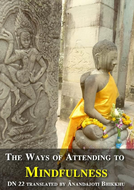THE WAYS OF ATTENDING TO **MINDFULNESS DN 22 TRANSLATED BY ANANDAJOTI BHIKKHU**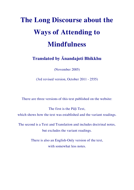# **The Long Discourse about the Ways of Attending to Mindfulness**

**Translated by Ānandajoti Bhikkhu**

(November 2005)

(3rd revised version, October 2011 - 2555)

There are three versions of this text published on the website:

The first is the Pāḷi Text, which shows how the text was established and the variant readings.

The second is a Text and Translation and includes doctrinal notes, but excludes the variant readings.

> There is also an English-Only version of the text, with somewhat less notes.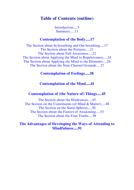## **Table of Contents (outline)**

[Introduction.....5](#page-4-0) [Summary.....13](#page-12-0)

## **[Contemplation of the Body.....17](#page-16-0)**

[The Section about In-breathing and Out-breathing.....17](#page-16-1) [The Section about the Postures.....21](#page-19-0) [The Section about Full Awareness.....22](#page-21-0) [The Section about Applying the Mind to Repulsiveness.....24](#page-22-0) [The Section about Applying the Mind to the Elements.....26](#page-24-0) [The Section about the Nine Charnel Grounds.....27](#page-26-0)

## **[Contemplation of Feelings.....38](#page-36-0)**

## **[Contemplation of the Mind.....41](#page-39-0)**

## **[Contemplation of \(the Nature of\) Things.....45](#page-42-0)**

[The Section about the Hindrances.....45](#page-42-1) [The Section on the Constituents \(of Mind & Matter\).....48](#page-45-0) [The Section on the Sense-Spheres.....50](#page-47-0) [The Section about the Factors of Awakening.....53](#page-50-0) [The Section about the Four Truths.....58](#page-55-0)

## **[The Advantages of Developing the Ways of](#page-87-0) Attending to [Mindfulness.....91](#page-87-0)**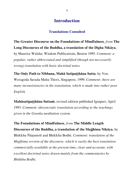## <span id="page-4-0"></span>**Translations Consulted**

**The Greater Discourse on the Foundations of Mindfulness**, *from* **The Long Discourses of the Buddha, a translation of the Dīgha Nikāya**, by Maurice Walshe; Wisdom Publications, Boston 1995. *Comment: a popular, rather abbreviated and simplified (though not neccesarily wrong) translation with basic doctrinal notes.*

**The Only Path to Nibbana, Mahā Satipaṭṭhāna Sutta**, by Ven. Weragoda Sarada Maha Thero, Singapore, 1999. *Comment: there are many inconsistencies in the translation, which is made into rather poor English.*

**Mahāsatipaṭṭhāna Suttaṁ**, revised edition published Igatpuri, April 1993. *Comment: idosyncratic translation according to the teachings given in the Goenka meditation system.*

**The Foundations of Mindfulness**, *from* **The Middle Length Discourses of the Buddha, a translation of the Majjhima Nikāya**, by Bhikkhu Ñāṇamoli and Bhikkhu Bodhi. *Comment: translation of the Majjhima version of the discourse, which is easily the best translation commercially available at the present time, clear and accurate, with excellent doctrinal notes drawn mainly from the commentaries by Bhikkhu Bodhi.*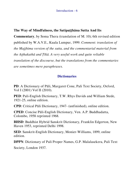## **The Way of Mindfulness, the Satipaṭṭhāna Sutta And Its**

**Commentary**, by Soma Thera (translation of M. 10); 6th revised edition published by W.A.V.E., Kuala Lumpur, 1999. *Comment: translation of the Majjhima version of the sutta, and the commentarial material from the Aṭṭhakathā and Ṭīkā. A very useful work and quite reliable translation of the discourse, but the translations from the commentaries are sometimes mere paraphrases.*

## **Dictionaries**

**PD**: A Dictionary of Pāli, Margaret Cone, Pali Text Society, Oxford, Vol I (2001) Vol II (2010).

**PED**: Pali-English Dictionary, T.W. Rhys Davids and William Stede, 1921-25, online edition.

**CPD**: Critical Pāli Dictionary, 1947- (unfinished), online edition.

**CPED**: Concise Pāli-English Dictionary, Ven. A.P. Buddhadatta, Colombo, 1958 reprinted 1968.

**BHSD**: Buddhist Hybrid Sanskrit Dictionary, Franklin Edgerton, New Haven 1953, reprinted Delhi 1998.

**SED**: Sanskrit-English Dictionary, Monier-Williams, 1899, online edition.

**DPPN**: Dictionary of Pali Proper Names, G.P. Malalasekera, Pali Text

Society, London 1937.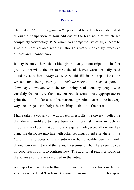## **Preface**

The text of *Mahāsatipaṭṭhānasutta* presented here has been established through a comparison of four editions of the text, none of which are completely satisfactory. PTS, which was compared last of all, appears to give the more reliable readings, though greatly marred by excessive ellipses and inconsistency.

It may be noted here that although the early manuscripts did in fact greatly abbreviate the discourses, the ola-leaves were normally read aloud by a recitor (*bhāṇaka*) who would fill in the repetitions, the written text being merely an *aide-de-memoir* to such a person. Nowadays, however, with the texts being read aloud by people who certainly do not have them memorized, it seems more appropriate to print them in full for ease of recitation, a practice that is to be in every way encouraged, as it helps the teaching to sink into the heart.

I have taken a conservative approach in establishing the text, believing that there is unlikely to have been loss in textual matter in such an important work; but that additions are quite likely, especially when they bring the discourse into line with other readings found elsewhere in the Canon. This process of standardisation has probably been at work throughout the history of the textual transmission, but there seems to be no good reason for it to continue now. The additional readings found in the various editions are recorded in the notes.

An important exception to this is in the inclusion of two lines in the the section on the First Truth in Dhammānupassanā, defining suffering to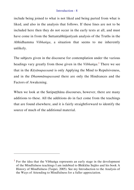include being joined to what is not liked and being parted from what is liked, and also in the analysis that follows. If these lines are not to be included here then they do not occur in the early texts at all, and must have come in from the Suttantabhājanīyaṁ analysis of the Truths in the Abhidhamma *Vibhaṅga*, a situation that seems to me inherently unlikely.

The subjects given in the discourse for contemplation under the various headings vary greatly from those given in the *Vibhaṅga*. <sup>1</sup> There we see that in the *Kāyānupassanā* is only Applying the Mind to Repulsiveness, and in the *Dhammānupassanā* there are only the Hindrances and the Factors of Awakening.

When we look at the Satipatthana discourses, however, there are many additions to these. All the additions do in fact come from the teachings that are found elsewhere, and it is fairly straightforward to identify the source of much of the additional material.

l

 $<sup>1</sup>$  For the idea that the Vibhanga represents an early stage in the development</sup> of the Mindfulness teachings I am indebted to Bhikkhu Sujāto and his book A History of Mindfulness (Taipei, 2005). See my Introduction to the Analysis of the Ways of Attending to Mindfulness for a fuller appreciation.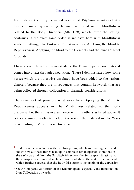For instance the fully expanded version of *Kāyānupassanā* evidently has been made by including the material found in the Mindfulness related to the Body Discourse (MN 119), which, after the setting, continues in the exact same order as we have here with Mindfulness while Breathing, The Postures, Full Awareness, Applying the Mind to Repulsiveness, Applying the Mind to the Elements and the Nine Charnel  $G$ rounds.<sup>1</sup>

I have shown elsewhere in my study of the Dhammapada how material comes into a text through association.<sup>2</sup> There I demonstrated how some verses which are otherwise unrelated have been added to the various chapters because they are in sequences that contain keywords that are being collected through collocation or thematic considerations.

The same sort of principle is at work here. Applying the Mind to Repulsiveness appears in The Mindfulness related to the Body discourse, but there it is in a sequence with the others as listed above. It is then a simple matter to include the rest of the material in The Ways of Attending to Mindfulness Discourse.

 $\overline{a}$ 

 $<sup>1</sup>$  That discourse concludes with the absorptions, which are missing here, and</sup> shows how all these things lead up to complete Emancipation. Note that in the early parallel from the Sarvāstivāda school the Smṛtyupasthānasūtraṁ, the absorptions are indeed included, over and above the rest of the material, which further suggests that the Body Discourse is the origin of the expansion.

 $2$  See A Comparative Edition of the Dhammapada, especially the Introduction, 3 on Collocation onwards.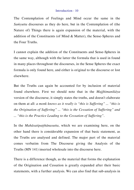The Contemplation of Feelings and Mind occur the same in the *Saṁyutta* discourses as they do here, but in the Contemplation of (the Nature of) Things there is again expansion of the material, with the addition of the Constituents (of Mind & Matter), the Sense-Spheres and the Four Truths.

I cannot explain the addition of the Constituents and Sense-Spheres in the same way, although with the latter the formula that is used in found in many places throughout the discourses, in the Sense Spheres the exact formula is only found here, and either is original to the discourse or lost elsewhere.

But the Truths can again be accounted for by inclusion of material found elsewhere. First we should note that in the *Majjhimanikāya* version of the discourse, it simply states the truths, and doesn't elaborate on them at all: *a monk knows as it really is "this is Suffering" ... "this is the Origination of Suffering" ... "this is the Cessation of Suffering" and ... "this is the Practice Leading to the Cessation of Suffering"*.

In the *Mahāsatipaṭṭhānasutta*, which we are examining here, on the other hand there is considerable expansion of that basic statement, as the Truths are analysed and defined. The major part of the material comes verbatim from The Discourse giving the Analysis of the Truths (MN 141) inserted wholesale into the discourse here.

There is a difference though, as the material that forms the explanation of the Origination and Cessation is greatly expanded after their basic statements, with a further analysis. We can also find that sub-analysis in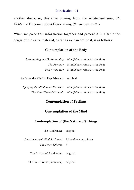another discourse, this time coming from the *Nidānasaṁyutta*, SN 12.66, the Discourse about Determining (*Sammasanasutta*).

When we piece this information together and present it in a table the origin of the extra material, as far as we can define it, is as follows:

## **Contemplation of the Body**

| In-breathing and Out-breathing     | Mindfulness related to the Body |
|------------------------------------|---------------------------------|
| <i>The Postures</i>                | Mindfulness related to the Body |
| <b>Full Awareness</b>              | Mindfulness related to the Body |
| Applying the Mind to Repulsiveness | original                        |
| Applying the Mind to the Elements  | Mindfulness related to the Body |
| The Nine Charnel Grounds           | Mindfulness related to the Body |

## **Contemplation of Feelings**

## **Contemplation of the Mind**

## **Contemplation of (the Nature of) Things**

The Hindrances original

*Constituents (of Mind & Matter) The Sense-Spheres ? ? found in many places*

The Factors of Awakening original

The Four Truths (Summary) original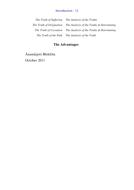*The Truth of Suffering The Truth of Origination The Truth of Cessation The Truth of the Path The Analysis of the Truth The Analysis of the Truths The Analysis of the Truths & Determining The Analysis of the Truths & Determining*

## **The Advantages**

Ānandajoti Bhikkhu October 2011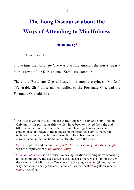## **The Long Discourse about the Ways of Attending to Mindfulness**

## <span id="page-12-0"></span>**Summary<sup>1</sup>**

Thus I heard:

l

at one time the Fortunate One was dwelling amongst the Kurus<sup>2</sup> near a market town of the Kurus named Kammāssadamma.<sup>3</sup>

There the Fortunate One addressed the monks (saying): "Monks!" "Venerable Sir!" those monks replied to the Fortunate One, and the Fortunate One said this:

<sup>&</sup>lt;sup>1</sup> The titles given in this edition are as they appear in ChS and Only (though Only omits this particular title), which have been extracted from the end titles, which are omitted in those editions. Headings being a modern convenience unknown to the manuscript tradition, BJT omits them, but includes the end-titles. In this edition both have been included for convenience on the one hand, and authenticity on the other.

<sup>2</sup> *Kurūsu* is plural and means *amongst the Kurus*, or *amongst the Kuru people*, with the implication: *in the Kuru country*.

<sup>3</sup> *Kammāssadammaṁ* is an accusative having locative meaning here; according to the commentary the accusative is used because there was no monastery *in* the town, and the Fortunate One stayed in the jungle *nearby* (though quite why that should change the case is unclear, as the locative regularly means *near* or *nearby*).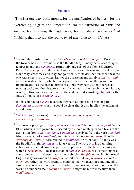#### Summary - 14

"This is a one-way path, monks, for the purification of beings, $<sup>1</sup>$  for the</sup> overcoming of grief and lamentation, for the extinction of pain<sup>2</sup> and sorrow, for attaining the right way, for the direct realisation<sup>3</sup> of Nibbāna, that is to say, the four ways of attending to mindfulness.<sup>4</sup>

 $\overline{a}$ 

3 *Sacchi*- = *sa* (one's own) *acchi* (eye); *with one's own eyes*, *directly experiencing* or *realising*.

<sup>4</sup> The correct parsing of *satipaṭṭhāna* is *sati* + *upaṭṭhāna* (cf. *smṛty-upasthāna* in BHS) which is recognized but rejected by the commentary, which favours the derivation from *sati* + *paṭṭhāna*. *Upaṭṭhāna* is derived from the verb *upaṭṭhāti* (itself a variant of *upatiṭṭhati*), and literally means *standing near*, therefore *attending on, serving*. Also related to *upaṭṭhāka*, an attendant (Ānanda was the Buddha's main *upaṭṭhāka* in later years). The word *sati* is a feminine action-noun derived from the past participle of *sarati* the basic meaning of which is *remembers*. The translation of *sati* as *mindfulness* is something of a compromise, as *sati* doesn't really mean simply *mindfulness*, which in normal English is synonymic with *carefulness*; but nor is it *simple awareness* or *bare attention*, rather the word seems to combine the two meanings and intends a careful sort of attention to whatever objects are arising in consciousness. If it wasn't so cumbersome *reflective awareness* might be more indicative than *mindfulness*.

<sup>1</sup> Commonly translated as either *the only path* or as *the direct path*. Doctrinally the former has to be excluded as the Buddha taught many paths according to temperament; and *sammāsati* forms only one part of the Noble Eightfold Path; *the direct path* on the other hand is really an unfortunate paraphrase, as a one-way street may and may not go directly to its destination, as witness the one-way streets in our cities. Rather the phrase means simply *a one-way path*, as it is translated here, which makes perfect sense doctrinally (as well as linguistically), as the characteristic of all one-way paths is that there is no turning back, and they lead one on until eventually they reach the conclusion, which, in this case, as we will see at the end, is final knowledge (*aññā*), or the state of non-return (*anāgāmitā*).

<sup>2</sup> In this compound *dukkha* means bodily pain as opposed to mental pain, *domanassa* or *sorrow*; but it should be clear that it also implies the ending of all suffering.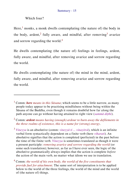## Which four?

 $\overline{a}$ 

Here,<sup>1</sup> monks, a monk dwells contemplating (the nature of) the body in the body, ardent,<sup>2</sup> fully aware, and mindful, after removing<sup>3</sup> avarice and sorrow regarding the world.<sup>4</sup>

He dwells contemplating (the nature of) feelings in feelings, ardent, fully aware, and mindful, after removing avarice and sorrow regarding the world.

He dwells contemplating (the nature of) the mind in the mind, ardent, fully aware, and mindful, after removing avarice and sorrow regarding the world.

<sup>1</sup> Comm: *here means in this Sāsana*; which seems to be a little narrow, as many people today appear to be practising mindfulness without being within the Sāsana of the Buddha, even though it remains doubtful how far along the path anyone can go without having attained to right view (*sammā diṭthi*).

<sup>2</sup> Comm: *ardent means having (enough) ardour to burn away the defilements in the three realms of existence, this is a name for (strong) energy*.

<sup>3</sup> *Vineyya* is an absolutive (comm: *vineyyā ti ... vinayitvā*), which is an infinite verbal form syntactically dependent on a finite verb (here *viharati*). An absolutive signifies that the action is completed (perfected) in the past before the time of the finite verb. *Vineyya* is sometimes translated as though it were a present participle: *removing avarice and sorrow regarding the world* (or some such translation); however, as far as I have ever seen, the logic of the absolutive grammatically always implies that the action is complete *before* the action of the main verb, no matter what idiom we use in translation.

<sup>4</sup> Comm: *the world of his own body, the world of the five constituents that provide fuel for attachment*. The same sort of interpretation is to be applied below to the world of the three feelings, the world of the mind and the world of (the nature of) things.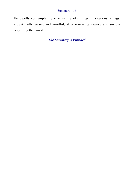## Summary - 16

He dwells contemplating (the nature of) things in (various) things, ardent, fully aware, and mindful, after removing avarice and sorrow regarding the world.

*The Summary is Finished*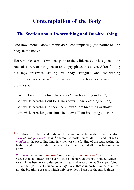## <span id="page-16-1"></span><span id="page-16-0"></span>**The Section about In-breathing and Out-breathing**

And how, monks, does a monk dwell contemplating (the nature of) the body in the body?

Here, monks, a monk who has gone to the wilderness, or has gone to the root of a tree, or has gone to an empty place, sits down. After folding his legs crosswise, setting his body straight,<sup>1</sup> and establishing mindfulness at the front,<sup>2</sup> being very mindful he breathes in, mindful he breathes out.

While breathing in long, he knows "I am breathing in long", or, while breathing out long, he knows "I am breathing out long"; or, while breathing in short, he knows "I am breathing in short", or, while breathing out short, he knows "I am breathing out short".

 $\overline{a}$ 

<sup>&</sup>lt;sup>1</sup> The absolutives here and in the next line are connected with the finite verbs *assasati* and *passasati* (as in Ñāṇamoli's translation of MN 10), and not with *nisīdati* in the preceding line, in which case the folding of the legs, setting the body straight, and establishment of mindfulness would all occur before he sat down!

<sup>2</sup> *Parimukhaṁ* means *at the front*, or perhaps, *around the mouth*, i.e. it is a vague area, not meant to be confined to one particular spot or place, which would have been easy to designate if that is what was meant (like specifying *oṭṭha*, the lip). It is of course *the mindfulness* that is important in the practice, not the breathing as such, which only provides a basis for the mindfulness.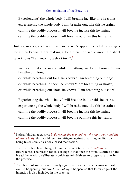Experiencing<sup>1</sup> the whole body I will breathe in,<sup>2</sup> like this he trains, experiencing the whole body I will breathe out, like this he trains; calming the bodily process I will breathe in, like this he trains, calming the bodily process I will breathe out, like this he trains.

Just as, monks, a clever turner or turner's apprentice while making a long turn knows "I am making a long turn", or, while making a short turn knows "I am making a short turn",<sup>3</sup>

just so, monks, a monk while breathing in long, knows "I am breathing in long", or, while breathing out long, he knows "I am breathing out long"; or, while breathing in short, he knows "I am breathing in short", or, while breathing out short, he knows "I am breathing out short".

Experiencing the whole body I will breathe in, like this he trains, experiencing the whole body I will breathe out, like this he trains; calming the bodily process I will breathe in, like this he trains, calming the bodily process I will breathe out, like this he trains.

l

<sup>1</sup> Paṭisambhidāmagga says: *body means the two bodies - the mind-body and the physical body*; this would seem to mitigate against breathing meditation being taken solely as a body-based meditation.

<sup>2</sup> The instruction here changes from the present tense for *breathing* to the future tense. The reason for this change is that once the mind is settled on the breath he needs to deliberately cultivate mindfulness to progress further in the practice.

 $3$  The choice of simile here is surely significant, as the turner knows not just *what* is happening, but *how he is making* it happen, so that knowledge of the intention is also included in the practice.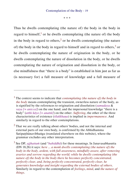Thus he dwells contemplating (the nature of) the body in the body in regard to himself,<sup>1</sup> or he dwells contemplating (the nature of) the body in the body in regard to others,<sup>2</sup> or he dwells contemplating (the nature of) the body in the body in regard to himself and in regard to others, $3$  or he dwells contemplating the nature of origination in the body, or he dwells contemplating the nature of dissolution in the body, or he dwells contemplating the nature of origination and dissolution in the body, or else mindfulness that "there is a body" is established in him just as far as (is necessary for) a full measure of knowledge and a full measure of

 $\overline{a}$ 

<sup>1</sup> The context seems to indicate that *contemplating (the nature of) the body in the body* means contemplating the transient, ownerless nature of the body, as is signified by the references to origination and dissolution (*samudaya* & *vaya*  $[= anicca]$  on the one hand; and the impersonal knowledge "there is a body" (*atthi kāyo [= anattā]*) on the other. *Suffering*, the other of the three characteristics of existence (*tilakkhaṇa*) is implied in *impermanence*. And similarly in regard to the other contemplations.

 $<sup>2</sup>$  That we are really talking about others' bodies, and not the internal and</sup> external parts of our own body, is confirmed by the Abhidhamma Satipatthānavibhaṅga (translated elsewhere on this website), where the grammar excludes any other interpretation.

<sup>3</sup> See DP, *ajjhattaṁ* (and °*bahiddhā*) for these meanings. In Janavasabhasutta (DN 18,26) it says: *here ... a monk dwells contemplating (the nature of) the body in the body, ardent, with full awareness, mindfully aware, after removing avarice and sorrow regarding the world; while he dwells contemplating (the nature of) the body in the body there he becomes perfectly concentrated, perfectly clear, and, being perfectly concentrated, perfectly clear, he generates knowledge and insight regarding the external bodies of others*. Similarly in regard to the contemplation of *feelings*, *mind*, and *the nature of things*.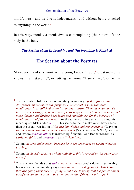mindfulness,<sup>1</sup> and he dwells independent,<sup>2</sup> and without being attached to anything in the world. $3$ 

In this way, monks, a monk dwells contemplating (the nature of) the body in the body.

## *The Section about In-breathing and Out-breathing is Finished*

## <span id="page-19-0"></span>**The Section about the Postures**

Moreover, monks, a monk while going knows "I go";  $4$  or, standing he knows "I am standing"; or, sitting he knows "I am sitting"; or, while

 $\overline{a}$ 

<sup>1</sup> The translation follows the commentary, which says: *just as far as, this designates, and is limited to, purpose. This is what is said: whatever mindfulness is established is not for another reason. Then the meaning of as far as (is necessary for) a measure of knowledge is so as to increase more and more, further and further, knowledge and mindfulness, for the increase of mindfulness and full awareness*. For the same word in Sanskrit having this meaning see SED under *mātra*. This seems to me to make much better sense than the usual translation of *for just knowledge and remembrance* (Way); or *for mere understanding and mere awareness* (VRI). See also MN 22, near the end, where *saddhamatta* is translated by Ñāṇamoḷi and Bodhi (MLDB) as *sufficient faith*, and *pemamatta* as *sufficient love*.

<sup>2</sup> Comm: *he lives independent because he is not dependent on wrong views or craving*.

<sup>3</sup> Comm: *he doesn't grasp (anything) thinking: this is my self or this belongs to my self*.

<sup>4</sup> This is where the idea that *sati* is *mere awareness* breaks down irretrievably, because as the commentary says: *even animals like dogs and jackals know they are going when they are going ... but they do not uproot the perception of a self and cannot be said to be attending to mindfulness or a (proper)*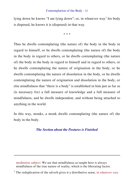lying down he knows "I am lying down"; or, in whatever way<sup>1</sup> his body is disposed, he knows it is (disposed) in that way.

\* \* \*

Thus he dwells contemplating (the nature of) the body in the body in regard to himself, or he dwells contemplating (the nature of) the body in the body in regard to others, or he dwells contemplating (the nature of) the body in the body in regard to himself and in regard to others, or he dwells contemplating the nature of origination in the body, or he dwells contemplating the nature of dissolution in the body, or he dwells contemplating the nature of origination and dissolution in the body, or else mindfulness that "there is a body" is established in him just as far as (is necessary for) a full measure of knowledge and a full measure of mindfulness, and he dwells independent, and without being attached to anything in the world.

In this way, monks, a monk dwells contemplating (the nature of) the body in the body.

### *The Section about the Postures is Finished*

*meditation subject*. We see that mindfulness as taught here is always mindfulness of the true nature of reality, which is the liberating factor.

 $\overline{a}$ 

<sup>1</sup> The reduplication of the adverb gives it a distributive sense, *in whatever way*.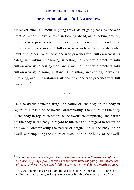## <span id="page-21-0"></span>**The Section about Full Awareness**

Moreover, monks, a monk in going forwards, in going back, is one who practises with full awareness;<sup>1</sup> in looking ahead, or in looking around, he is one who practises with full awareness; in bending or in stretching, he is one who practises with full awareness; in bearing his double-robe, bowl, and (other) robes, he is one who practises with full awareness; in eating, in drinking, in chewing, in tasting, he is one who practises with full awareness; in passing stool and urine, he is one who practises with full awareness; in going, in standing, in sitting; in sleeping, in waking; in talking, and in maintaining silence, he is one who practises with full awareness.<sup>2</sup>

\* \* \*

Thus he dwells contemplating (the nature of) the body in the body in regard to himself, or he dwells contemplating (the nature of) the body in the body in regard to others, or he dwells contemplating (the nature of) the body in the body in regard to himself and in regard to others, or he dwells contemplating the nature of origination in the body, or he dwells contemplating the nature of dissolution in the body, or he dwells

 $\overline{a}$ 

<sup>1</sup> Comm: *herein, there are four kinds of full awareness: full awareness of the purpose [of going], full awareness of the suitability [of going], full awareness of resort [where one is going], full awareness of non-delusion [while going]*.

 $<sup>2</sup>$  This section emphasises that on all occasions during one's daily life one can</sup> maintain mindfulness, as long as one keeps in mind the true nature of the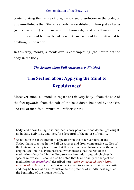contemplating the nature of origination and dissolution in the body, or else mindfulness that "there is a body" is established in him just as far as (is necessary for) a full measure of knowledge and a full measure of mindfulness, and he dwells independent, and without being attached to anything in the world.

In this way, monks, a monk dwells contemplating (the nature of) the body in the body.

## *The Section about Full Awareness is Finished*

## **The Section about Applying the Mind to Repulsiveness<sup>1</sup>**

<span id="page-22-0"></span>Moreover, monks, a monk in regard to this very body - from the sole of the feet upwards, from the hair of the head down, bounded by the skin, and full of manifold impurities - reflects (thus):

body, and doesn't cling to it, but that is only possible if one doesn't get caught up in daily activities, and therefore forgetful of the nature of reality.

 $\overline{a}$ 

 $<sup>1</sup>$  As noted in the Introduction it appears from the other versions of the</sup> Satipatthana practice in the Pali discourses and from comparative studies of the texts in the early traditions that this section on replulsiveness is the only original section in Kāyānupassanā, which means that the rest of the meditations described in the discourse are later additions, which gives it special relevance. It should also be noted that traditionally the subject for meditation (*kammaṭṭhāna*) described here (*hairs of the head, body hairs, nails, teeth, skin*, etc.) is the first subject given to a newly ordained monastic, and may be taken as an introduction to the practice of mindfulness right at the beginning of the monastic's life.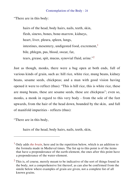"There are in this body:

hairs of the head, body hairs, nails, teeth, skin, flesh, sinews, bones, bone-marrow, kidneys, heart, liver, pleura, spleen, lungs, intestines, mesentery, undigested food, excrement, $<sup>1</sup>$ </sup> bile, phlegm, pus, blood, sweat, fat, tears, grease, spit, mucus, synovial fluid, urine."<sup>2</sup>

Just as though, monks, there were a bag open at both ends, full of various kinds of grain, such as: hill rice, white rice, mung beans, kidney beans, sesame seeds, chickpeas; and a man with good vision having opened it were to reflect (thus): "This is hill rice, this is white rice, these are mung beans, these are sesame seeds, these are chickpeas"; even so, monks, a monk in regard to this very body - from the sole of the feet upwards, from the hair of the head down, bounded by the skin, and full of manifold impurities - reflects (thus):

"There are in this body,

l

hairs of the head, body hairs, nails, teeth, skin,

<sup>1</sup> Only adds *the brain*, here and in the repetition below, which is an addition to the formula made in Medieval times. The list up to this point is of the items that have a preponderance of the earth-element, the ones after this point have a preponderance of the water-element.

 $2$  This is, of course, merely meant to be indicative of the sort of things found in the body, not a comprehensive list thereof, as can also be confirmed from the simile below where examples of grain are given, not a complete list of all known grains.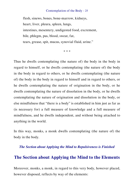flesh, sinews, bones, bone-marrow, kidneys, heart, liver, pleura, spleen, lungs, intestines, mesentery, undigested food, excrement, bile, phlegm, pus, blood, sweat, fat, tears, grease, spit, mucus, synovial fluid, urine."

\* \* \*

Thus he dwells contemplating (the nature of) the body in the body in regard to himself, or he dwells contemplating (the nature of) the body in the body in regard to others, or he dwells contemplating (the nature of) the body in the body in regard to himself and in regard to others, or he dwells contemplating the nature of origination in the body, or he dwells contemplating the nature of dissolution in the body, or he dwells contemplating the nature of origination and dissolution in the body, or else mindfulness that "there is a body" is established in him just as far as (is necessary for) a full measure of knowledge and a full measure of mindfulness, and he dwells independent, and without being attached to anything in the world.

In this way, monks, a monk dwells contemplating (the nature of) the body in the body.

#### <span id="page-24-0"></span>*The Section about Applying the Mind to Repulsiveness is Finished*

## **The Section about Applying the Mind to the Elements**

Moreover, monks, a monk, in regard to this very body, however placed, however disposed, reflects by way of the elements: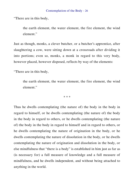"There are in this body,

the earth element, the water element, the fire element, the wind element"

Just as though, monks, a clever butcher, or a butcher's apprentice, after slaughtering a cow, were sitting down at a crossroads after dividing it into portions; even so, monks, a monk in regard to this very body, however placed, however disposed, reflects by way of the elements:

"There are in this body,

the earth element, the water element, the fire element, the wind element."

\* \* \*

Thus he dwells contemplating (the nature of) the body in the body in regard to himself, or he dwells contemplating (the nature of) the body in the body in regard to others, or he dwells contemplating (the nature of) the body in the body in regard to himself and in regard to others, or he dwells contemplating the nature of origination in the body, or he dwells contemplating the nature of dissolution in the body, or he dwells contemplating the nature of origination and dissolution in the body, or else mindfulness that "there is a body" is established in him just as far as (is necessary for) a full measure of knowledge and a full measure of mindfulness, and he dwells independent, and without being attached to anything in the world.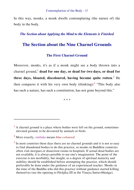In this way, monks, a monk dwells contemplating (the nature of) the body in the body.

*The Section about Applying the Mind to the Elements is Finished*

## **The Section about the Nine Charnel Grounds**

## <span id="page-26-0"></span>**The First Charnel Ground**

Moreover, monks, it's as if a monk might see a body thrown into a charnel ground,<sup>1</sup> dead for one day, or dead for two days, or dead for **three days, bloated, discoloured, having become quite rotten**. <sup>2</sup> He then compares it with his very own body (thinking): $3$  "This body also has such a nature, has such a constitution, has not gone beyond this."

\* \* \*

 $\overline{a}$ 

 $<sup>1</sup>$  A charnel ground is a place where bodies were left on the ground, sometimes</sup> elevated ground, to be devoured by animals or birds.

<sup>2</sup> More exactly, *vinīlaka* means *blue-coloured*.

 $3$  In most countries these days there are no charnel grounds and it is not so easy to find abandoned bodies to do this practice, so monks in Buddhist countries often visit morgues or dissection rooms in hospitals. If actual dead bodies are not available, it is always possible to use one's imagination. The point of the exercise is not morbidity, but insight, so a degree of spiritual maturity and stability should be established before attempting the practice, which should preferably be done under the guidance of an experienced teacher. Monks in the time of the Buddha who did this practice without guidance started killing themselves (see the opening to Pārājika III in the Vinaya Suttavibhaṅga).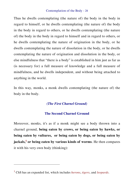Thus he dwells contemplating (the nature of) the body in the body in regard to himself, or he dwells contemplating (the nature of) the body in the body in regard to others, or he dwells contemplating (the nature of) the body in the body in regard to himself and in regard to others, or he dwells contemplating the nature of origination in the body, or he dwells contemplating the nature of dissolution in the body, or he dwells contemplating the nature of origination and dissolution in the body, or else mindfulness that "there is a body" is established in him just as far as (is necessary for) a full measure of knowledge and a full measure of mindfulness, and he dwells independent, and without being attached to anything in the world.

In this way, monks, a monk dwells contemplating (the nature of) the body in the body.

## *(The First Charnel Ground)*

## **The Second Charnel Ground**

Moreover, monks, it's as if a monk might see a body thrown into a charnel ground, **being eaten by crows, or being eaten by hawks, or being eaten by vultures, or being eaten by dogs, or being eaten by jackals,<sup>1</sup> or being eaten by various kinds of worms**. He then compares it with his very own body (thinking):

l

<sup>1</sup> ChS has an expanded list, which includes *herons*, *tigers*, and *leopards*.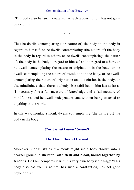"This body also has such a nature, has such a constitution, has not gone beyond this."

\* \* \*

Thus he dwells contemplating (the nature of) the body in the body in regard to himself, or he dwells contemplating (the nature of) the body in the body in regard to others, or he dwells contemplating (the nature of) the body in the body in regard to himself and in regard to others, or he dwells contemplating the nature of origination in the body, or he dwells contemplating the nature of dissolution in the body, or he dwells contemplating the nature of origination and dissolution in the body, or else mindfulness that "there is a body" is established in him just as far as (is necessary for) a full measure of knowledge and a full measure of mindfulness, and he dwells independent, and without being attached to anything in the world.

In this way, monks, a monk dwells contemplating (the nature of) the body in the body.

## *(The Second Charnel Ground)*

#### **The Third Charnel Ground**

Moreover, monks, it's as if a monk might see a body thrown into a charnel ground, **a skeleton, with flesh and blood, bound together by tendons**. He then compares it with his very own body (thinking): "This body also has such a nature, has such a constitution, has not gone beyond this."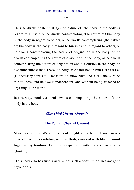Thus he dwells contemplating (the nature of) the body in the body in regard to himself, or he dwells contemplating (the nature of) the body in the body in regard to others, or he dwells contemplating (the nature of) the body in the body in regard to himself and in regard to others, or he dwells contemplating the nature of origination in the body, or he dwells contemplating the nature of dissolution in the body, or he dwells contemplating the nature of origination and dissolution in the body, or else mindfulness that "there is a body" is established in him just as far as (is necessary for) a full measure of knowledge and a full measure of mindfulness, and he dwells independent, and without being attached to anything in the world.

In this way, monks, a monk dwells contemplating (the nature of) the body in the body.

## *(The Third Charnel Ground)*

### **The Fourth Charnel Ground**

Moreover, monks, it's as if a monk might see a body thrown into a charnel ground, **a skeleton, without flesh, smeared with blood, bound together by tendons**. He then compares it with his very own body (thinking):

"This body also has such a nature, has such a constitution, has not gone beyond this."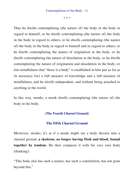Thus he dwells contemplating (the nature of) the body in the body in regard to himself, or he dwells contemplating (the nature of) the body in the body in regard to others, or he dwells contemplating (the nature of) the body in the body in regard to himself and in regard to others, or he dwells contemplating the nature of origination in the body, or he dwells contemplating the nature of dissolution in the body, or he dwells contemplating the nature of origination and dissolution in the body, or else mindfulness that "there is a body" is established in him just as far as (is necessary for) a full measure of knowledge and a full measure of mindfulness, and he dwells independent, and without being attached to anything in the world.

In this way, monks, a monk dwells contemplating (the nature of) the body in the body.

## *(The Fourth Charnel Ground)*

### **The Fifth Charnel Ground**

Moreover, monks, it's as if a monk might see a body thrown into a charnel ground, **a skeleton, no longer having flesh and blood, bound together by tendons**. He then compares it with his very own body (thinking):

"This body also has such a nature, has such a constitution, has not gone beyond this."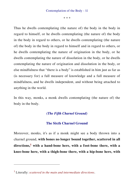Thus he dwells contemplating (the nature of) the body in the body in regard to himself, or he dwells contemplating (the nature of) the body in the body in regard to others, or he dwells contemplating (the nature of) the body in the body in regard to himself and in regard to others, or he dwells contemplating the nature of origination in the body, or he dwells contemplating the nature of dissolution in the body, or he dwells contemplating the nature of origination and dissolution in the body, or else mindfulness that "there is a body" is established in him just as far as (is necessary for) a full measure of knowledge and a full measure of mindfulness, and he dwells independent, and without being attached to anything in the world.

In this way, monks, a monk dwells contemplating (the nature of) the body in the body.

## *(The Fifth Charnel Ground)*

## **The Sixth Charnel Ground**

Moreover, monks, it's as if a monk might see a body thrown into a charnel ground, **with bones no longer bound together, scattered in all directions,<sup>1</sup> with a hand-bone here, with a foot-bone there, with a knee-bone here, with a thigh-bone there, with a hip-bone here, with** 

l

<sup>1</sup> Literally: *scattered in the main and intermediate directions*.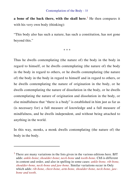**a bone of the back there, with the skull here**. <sup>1</sup> He then compares it with his very own body (thinking):

"This body also has such a nature, has such a constitution, has not gone beyond this."

\* \* \*

Thus he dwells contemplating (the nature of) the body in the body in regard to himself, or he dwells contemplating (the nature of) the body in the body in regard to others, or he dwells contemplating (the nature of) the body in the body in regard to himself and in regard to others, or he dwells contemplating the nature of origination in the body, or he dwells contemplating the nature of dissolution in the body, or he dwells contemplating the nature of origination and dissolution in the body, or else mindfulness that "there is a body" is established in him just as far as (is necessary for) a full measure of knowledge and a full measure of mindfulness, and he dwells independent, and without being attached to anything in the world.

In this way, monks, a monk dwells contemplating (the nature of) the body in the body.

l

<sup>&</sup>lt;sup>1</sup> There are many variations in the lists given in the various editions here. BJT adds: *ankle-bone*; *shoulder-bone*; *neck-bone* and *tooth-bone*. ChS is different in content and order, and also in spelling in some cases: *ankle-bone, rib-bone, shoulder-bone, neck-bone and jaw-bone.* Similar variations occur in Only which adds: *rib-bone, chest-bone, arm-bone, shoulder-bone, neck-bone, jawbone and tooth*.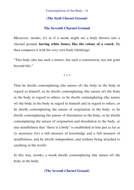## *(The Sixth Charnel Ground)*

## **The Seventh Charnel Ground**

Moreover, monks, it's as if a monk might see a body thrown into a charnel ground, **having white bones, like the colour of a conch**. He then compares it with his very own body (thinking):

"This body also has such a nature, has such a constitution, has not gone beyond this."

\* \* \*

Thus he dwells contemplating (the nature of) the body in the body in regard to himself, or he dwells contemplating (the nature of) the body in the body in regard to others, or he dwells contemplating (the nature of) the body in the body in regard to himself and in regard to others, or he dwells contemplating the nature of origination in the body, or he dwells contemplating the nature of dissolution in the body, or he dwells contemplating the nature of origination and dissolution in the body, or else mindfulness that "there is a body" is established in him just as far as (is necessary for) a full measure of knowledge and a full measure of mindfulness, and he dwells independent, and without being attached to anything in the world.

In this way, monks, a monk dwells contemplating (the nature of) the body in the body.

## *(The Seventh Charnel Ground)*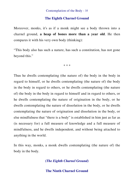### **The Eighth Charnel Ground**

Moreover, monks, it's as if a monk might see a body thrown into a charnel ground, **a heap of bones more than a year old**. He then compares it with his very own body (thinking):

"This body also has such a nature, has such a constitution, has not gone beyond this."

\* \* \*

Thus he dwells contemplating (the nature of) the body in the body in regard to himself, or he dwells contemplating (the nature of) the body in the body in regard to others, or he dwells contemplating (the nature of) the body in the body in regard to himself and in regard to others, or he dwells contemplating the nature of origination in the body, or he dwells contemplating the nature of dissolution in the body, or he dwells contemplating the nature of origination and dissolution in the body, or else mindfulness that "there is a body" is established in him just as far as (is necessary for) a full measure of knowledge and a full measure of mindfulness, and he dwells independent, and without being attached to anything in the world.

In this way, monks, a monk dwells contemplating (the nature of) the body in the body.

*(The Eighth Charnel Ground)*

**The Ninth Charnel Ground**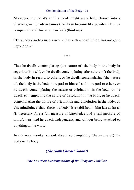Moreover, monks, it's as if a monk might see a body thrown into a charnel ground, **rotten bones that have become like powder**. He then compares it with his very own body (thinking):

"This body also has such a nature, has such a constitution, has not gone beyond this."

\* \* \*

Thus he dwells contemplating (the nature of) the body in the body in regard to himself, or he dwells contemplating (the nature of) the body in the body in regard to others, or he dwells contemplating (the nature of) the body in the body in regard to himself and in regard to others, or he dwells contemplating the nature of origination in the body, or he dwells contemplating the nature of dissolution in the body, or he dwells contemplating the nature of origination and dissolution in the body, or else mindfulness that "there is a body" is established in him just as far as (is necessary for) a full measure of knowledge and a full measure of mindfulness, and he dwells independent, and without being attached to anything in the world.

In this way, monks, a monk dwells contemplating (the nature of) the body in the body.

### *(The Ninth Charnel Ground)*

### *The Fourteen Contemplations of the Body are Finished*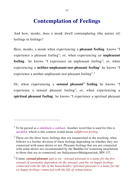# **Contemplation of Feelings**

And how, monks, does a monk dwell contemplating (the nature of) feelings in feelings?

Here, monks, a monk when experiencing a **pleasant feeling** knows "I experience a pleasant feeling"; or, when experiencing an **unpleasant feeling** he knows "I experience an unpleasant feeling"; or, when experiencing a **neither-unpleasant-nor-pleasant feeling**<sup>1</sup> he knows "I experience a neither-unpleasant-nor-pleasant feeling".<sup>2</sup>

Or, when experiencing a **sensual pleasant<sup>3</sup> feeling** he knows "I experience a sensual pleasant feeling"; or, when experiencing a **spiritual pleasant feeling** he knows "I experience a spiritual pleasant

<sup>1</sup> To be parsed as *a-dukkhaṁ a-sukhaṁ*. Another word that is used for this is *upekkhā*, which is this context would mean *indifferent feeling*.

 $2$  These are the three basic feelings that are enumerated in the teaching, what follows is a further division of these feelings depending on whether they are connected with sense-desire or not. Pleasant feelings that are not connected with sense-desire are recommended by the Buddha for loosening attachment to those that are so connected, see Saḷāyatanavibhaṅgasuttaṁ, MN 137.

<sup>3</sup> Comm: *sensual pleasant and so on - sensual pleasant is a name for the five strands of sensuality dependent on the sensual, and the six happy feelings connected with the life of the householder; spiritual pleasant is a name for the six happy feelings connected with the life of renunciation*.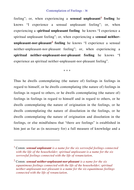feeling"; or, when experiencing a **sensual unpleasant<sup>1</sup> feeling** he knows "I experience a sensual unpleasant feeling"; or, when experiencing a s**piritual unpleasant feeling** he knows "I experience a spiritual unpleasant feeling"; or, when experiencing a s**ensual neitherunpleasant-nor-pleasant<sup>2</sup> feeling** he knows "I experience a sensual neither-unpleasant-nor-pleasant feeling"; or, when experiencing a **spiritual neither-unpleasant-nor-pleasant feeling** he knows "I experience an spiritual neither-unpleasant-nor-pleasant feeling".

\* \* \*

Thus he dwells contemplating (the nature of) feelings in feelings in regard to himself, or he dwells contemplating (the nature of) feelings in feelings in regard to others, or he dwells contemplating (the nature of) feelings in feelings in regard to himself and in regard to others, or he dwells contemplating the nature of origination in the feelings, or he dwells contemplating the nature of dissolution in the feelings, or he dwells contemplating the nature of origination and dissolution in the feelings, or else mindfulness that "there are feelings" is established in him just as far as (is necessary for) a full measure of knowledge and a

l

<sup>1</sup> Comm: *sensual unpleasant is a name for the six sorrowful feelings connected with the life of the householder; spiritual unpleasant is a name for the six sorrowful feelings connected with the life of renunciation*.

<sup>2</sup> Comm: *sensual neither-unpleasant-nor-pleasant is a name for the six equanimous feelings connected with the life of the householder; spiritual neither-unpleasant-nor-pleasant is a name for the six equanimous feelings connected with the life of renunciation*.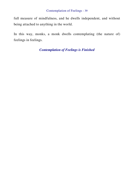full measure of mindfulness, and he dwells independent, and without being attached to anything in the world.

In this way, monks, a monk dwells contemplating (the nature of) feelings in feelings.

# *Contemplation of Feelings is Finished*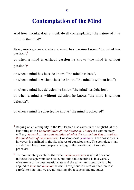# **Contemplation of the Mind**

And how, monks, does a monk dwell contemplating (the nature of) the mind in the mind?

Here, monks, a monk when a mind **has passion** knows "the mind has passion",<sup>1</sup>

or when a mind is **without passion** he knows "the mind is without passion";<sup>2</sup>

or when a mind **has hate** he knows "the mind has hate",

or when a mind is **without hate** he knows "the mind is without hate";

or when a mind **has delusion** he knows "the mind has delusion",

or when a mind is **without delusion** he knows "the mind is without delusion";

or when a mind is **collected** he knows "the mind is collected",

l

<sup>&</sup>lt;sup>1</sup> Relying on an ambiguity in the Pāḷi (which also exists in the English), at the beginning of the *Contemplation of (the Nature of) Things* the commentary will say: *to teach ... the contemplation of mind the Auspicious One ... took up the constituent of consciousness*. Consciousness (*viññāṇa*) in the constituents, however, is confined to the six spheres of consciousness. The complexes that are defined here more properly belong to the constituent of (mental) processes.

<sup>2</sup> The commentary explains that when *without passion* is said it does not indicate the supermundane state, but only that the mind is in a wordly wholesome or inconsequential state and the same interpretation is to be applied to *hate* and *delusion* below. Throughout this section the Comm is careful to note that we are not talking about supermundane states.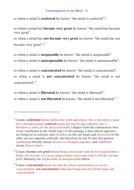## Contemplation of the Mind - 41

or when a mind is **scattered** he knows "the mind is scattered"; 1

or when a mind has **become very great** he knows "the mind has become very great",

or when a mind has **not become very great** he knows "the mind has not become very great";<sup>2</sup>

or when a mind is **surpassable** he knows "the mind is surpassable",

or when a mind is **unsurpassable** he knows "the mind is unsurpassable";

or when a mind is **concentrated** he knows "the mind is concentrated",

or when a mind is **not concentrated** he knows "the mind is not concentrated";<sup>3</sup>

or when a mind is **liberated** he knows "the mind is liberated",

 $\overline{a}$ 

or when a mind is **not liberated** he knows "the mind is not liberated".<sup>1</sup>

<sup>1</sup> Comm: *saṅkhittaṁ means fallen into sloth and torpor, this is therefore a name for a shrunken mind; scattered means having become agitated, this is therefore a name for the distracted mind*. I depart from the commentary here in my translation as the whole logic of this passage is that ethical opposites are being set in contrast, and *shrunken* on the one hand, and *distracted* on the other are not opposites ethically and therefore do not fit into this pattern. *Saṅkhittaṁ* literally means *thrown (or brought) together*, and *vikkhittaṁ* means *thrown apart*.

<sup>2</sup> Comm: *become very great means being conversant with the form and formless fields; not become very great means being conversant (only) with the sensual field*. Similarly for *surpassable & unsurpassable* below.

<sup>3</sup> Comm: *concentrated means he who has fixed concentration or access concentration; not concentrated (indicates being) devoid of both (types of) concentration*.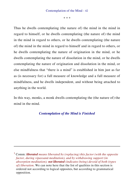\* \* \*

Thus he dwells contemplating (the nature of) the mind in the mind in regard to himself, or he dwells contemplating (the nature of) the mind in the mind in regard to others, or he dwells contemplating (the nature of) the mind in the mind in regard to himself and in regard to others, or he dwells contemplating the nature of origination in the mind, or he dwells contemplating the nature of dissolution in the mind, or he dwells contemplating the nature of origination and dissolution in the mind, or else mindfulness that "there is a mind" is established in him just as far as (is necessary for) a full measure of knowledge and a full measure of mindfulness, and he dwells independent, and without being attached to anything in the world.

In this way, monks, a monk dwells contemplating the (the nature of) the mind in the mind.

## *Contemplation of the Mind is Finished*

l

<sup>1</sup> Comm: *liberated means liberated by (replacing) this factor (with the opposite factor, during vipassanā meditation), and by withdrawing support (in absorption meditation); not liberated (indicates being) devoid of both (types of) liberation*. We can note here that the list of qualities in this section is ordered not according to logical opposites, but according to grammatical opposition.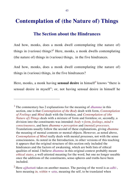# **The Section about the Hindrances**

And how, monks, does a monk dwell contemplating (the nature of) things in (various) things?<sup>1</sup> Here, monks, a monk dwells contemplating (the nature of) things in (various) things, in the five hindrances.

And how, monks, does a monk dwell contemplating (the nature of) things in (various) things, in the five hindrances?

Here, monks, a monk having **sensual desire** in himself<sup>2</sup> knows "there is sensual desire in myself"; or, not having sensual desire in himself he

l

<sup>1</sup> The commentary has 2 explanations for the meaning of *dhamma* in this section, one is that *Contemplation of the Body* dealt with form, *Contemplation of Feelings* and *Mind* dealt with the formless, and *Contemplation of (the Nature of) Things* deals with a mixture of form and formless; or, secondly, a division into the constituents was intended: *body* = *form*, *feelings*, *mind* = *consciousness*, and here *dhamma* = *perception* and *(mental) processes*. Translations usually follow the second of these explanations, giving *dhamma* the meaning of mental contents or mental objects. However, as noted above, *Contemplation of Mind* really deals with mental processes, not with the sense consciousness. As noted in the Introduction, in other versions of this teaching it appears that the original structure of this section only included the hindrances and the factors of awakening, which are both lists of ethical qualities of mind. I believe *dhamma* in this original context probably meant *ethical states*, a well-attested meaning for the word, but one no longer useable once the additions of the constituents, sense-spheres and truths have been included.

<sup>2</sup> Here *ajjhattaṁ* takes on another nuance. The parsing of the word is as *adhi-*, here meaning *in, within* + -*atta*, meaning the self, to be translated when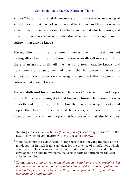knows "there is no sensual desire in myself". How there is an arising of sensual desire that has not arisen – that he knows; and how there is an abandonment of sensual desire that has arisen – that also he knows; and how there is a non-arising of abandoned sensual desire again in the future – that also he knows.<sup>1</sup>

Having **ill-will** in himself he knows "there is ill-will in myself"; or, not having ill-will in himself he knows "there is no ill-will in myself". How there is an arising of ill-will that has not arisen – that he knows; and how there is an abandonment of ill-will that has arisen – that also he knows; and how there is a non-arising of abandoned ill-will again in the future – that also he knows.

Having **sloth and torpor** in himself he knows "there is sloth and torpor in myself"; or, not having sloth and torpor in himself he knows "there is no sloth and torpor in myself". How there is an arising of sloth and torpor that has not arisen – that he knows; and how there is an abandonment of sloth and torpor that has arisen<sup>2</sup> – that also he knows;

standing alone as *oneself* (*himself*, *herself*, *itself*), according to context. In the next line, when in conjunction with *me* it becomes *myself*.

<sup>&</sup>lt;sup>1</sup> Many teachings these days seem to stop short at just knowing the state of the mind, but this in itself is not sufficient for the practice of mindfulness, which continues by elucidating the further skilful states of mind that need to be developed to be able to overcome the various sorts of defilements that can arise in the mind.

<sup>2</sup> Comm: *these six things lead to the giving up of sloth and torpor: grasping that the cause is in too much food, a complete change of the postures, applying the mind to the perception of light, dwelling in open grounds, having spiritual friendship and suitable talk*.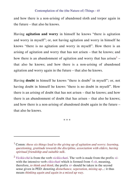and how there is a non-arising of abandoned sloth and torpor again in the future – that also he knows.

Having **agitation and worry** in himself he knows "there is agitation and worry in myself"; or, not having agitation and worry in himself he knows "there is no agitation and worry in myself". How there is an arising of agitation and worry that has not arisen – that he knows; and how there is an abandonment of agitation and worry that has arisen<sup>1</sup> – that also he knows; and how there is a non-arising of abandoned agitation and worry again in the future – that also he knows.

Having **doubt** in himself he knows "there is doubt<sup>2</sup> in myself"; or, not having doubt in himself he knows "there is no doubt in myself". How there is an arising of doubt that has not arisen – that he knows; and how there is an abandonment of doubt that has arisen – that also he knows; and how there is a non-arising of abandoned doubt again in the future – that also he knows.

\* \* \*

<sup>1</sup> Comm: *these six things lead to the giving up of agitation and worry: learning, questioning, gratitude towards the discipline, association with elders, having spiritual friendship and suitable talk*.

<sup>2</sup> *Vicikicchā* is from the verb *vicikicchati*. The verb is made from the prefix *vi*with the intensive verb *cikicchati* which is formed from  $\sqrt{c^{t}}$ , meaning, therefore, *to think and think*; the prefix *vi*- should be taken in the second sense given in PED: denoting *disturbance, seperation, mixing up*...: it thus means *thinking again and again in a mixed up way*.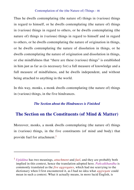Thus he dwells contemplating (the nature of) things in (various) things in regard to himself, or he dwells contemplating (the nature of) things in (various) things in regard to others, or he dwells contemplating (the nature of) things in (various) things in regard to himself and in regard to others, or he dwells contemplating the nature of origination in things, or he dwells contemplating the nature of dissolution in things, or he dwells contemplating the nature of origination and dissolution in things, or else mindfulness that "there are these (various) things" is established in him just as far as (is necessary for) a full measure of knowledge and a full measure of mindfulness, and he dwells independent, and without being attached to anything in the world.

In this way, monks, a monk dwells contemplating (the nature of) things in (various) things, in the five hindrances.

#### *The Section about the Hindrances is Finished*

# **The Section on the Constituents (of Mind & Matter)**

Moreover, monks, a monk dwells contemplating (the nature of) things in (various) things, in the five constituents (of mind and body) that provide fuel for attachment.<sup>1</sup>

<sup>1</sup> *Upādāna* has two meanings, *attachment* and *fuel*, and they are probably both implied in this context, hence the translation adopted here. *Pañcakkhandha* is commonly translated as the *five aggregates*, which had me scurrying to the dictionary when I first encountered it, as I had no idea what *aggregate* could mean in such a context. What it actually means, in more lucid English, is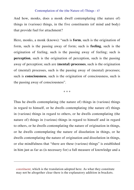And how, monks, does a monk dwell contemplating (the nature of) things in (various) things, in the five constituents (of mind and body) that provide fuel for attachment?

Here, monks, a monk (knows): "such is **form**, such is the origination of form, such is the passing away of form; such is **feeling**, such is the origination of feeling, such is the passing away of feeling; such is **perception**, such is the origination of perception, such is the passing away of perception; such are **(mental) processes**, such is the origination of (mental) processes, such is the passing away of (mental) processes; such is **consciousness**, such is the origination of consciousness, such is the passing away of consciousness".

\* \* \*

Thus he dwells contemplating (the nature of) things in (various) things in regard to himself, or he dwells contemplating (the nature of) things in (various) things in regard to others, or he dwells contemplating (the nature of) things in (various) things in regard to himself and in regard to others, or he dwells contemplating the nature of origination in things, or he dwells contemplating the nature of dissolution in things, or he dwells contemplating the nature of origination and dissolution in things, or else mindfulness that "there are these (various) things" is established in him just as far as (is necessary for) a full measure of knowledge and a

*constituent*, which is the translation adopted here. As what they constitute may not be altogether clear there is the explanatory addition in brackets.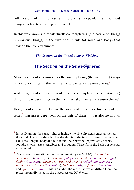full measure of mindfulness, and he dwells independent, and without being attached to anything in the world.

In this way, monks, a monk dwells contemplating (the nature of) things in (various) things, in the five constituents (of mind and body) that provide fuel for attachment.

## *The Section on the Constituents is Finished*

# **The Section on the Sense-Spheres**

Moreover, monks, a monk dwells contemplating (the nature of) things in (various) things, in the six internal and external sense-spheres.<sup>1</sup>

And how, monks, does a monk dwell contemplating (the nature of) things in (various) things, in the six internal and external sense-spheres?

Here, monks, a monk knows the **eye**, and he knows **forms**; and the fetter<sup>2</sup> that arises dependent on the pair of them<sup>1</sup> – that also he knows.

 $<sup>1</sup>$  In the Dhamma the sense-spheres include the five physical senses as well as</sup> the mind. These are then further divided into the internal sense-spheres: eye, ear, nose, tongue, body and mind; and their external equivalents: forms, sounds, smells, tastes, tangibles and thoughts. These form the basis for sensual attachment.

<sup>2</sup> Ten fetters are mentioned in the commentary (to MN 10): *the passion for sense-desire* (*kāmarāga*), *revulsion* (*paṭigha*), *conceit* (*māna*), *views* (*diṭṭhi*), *doubt* (*vicikicchā*), *grasping at virtue and practice* (*sīlabbataparāmāsa*), *passion for existence* (*bhavarāga*), *jealousy* (*issā*), *selfishness* (*macchariya*) and *ignorance* (*āvijjā*). This is an Abhidhammic list, which differs from the fetters normally listed in the discourses (at DN 6, etc.)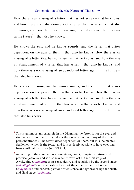How there is an arising of a fetter that has not arisen – that he knows; and how there is an abandonment of a fetter that has arisen – that also he knows; and how there is a non-arising of an abandoned fetter again in the future<sup>2</sup> – that also he knows.

He knows the **ear**, and he knows **sounds**, and the fetter that arises dependent on the pair of them – that also he knows. How there is an arising of a fetter that has not arisen – that he knows; and how there is an abandonment of a fetter that has arisen – that also he knows; and how there is a non-arising of an abandoned fetter again in the future – that also he knows.

He knows the **nose**, and he knows **smells**, and the fetter that arises dependent on the pair of them – that also he knows. How there is an arising of a fetter that has not arisen – that he knows; and how there is an abandonment of a fetter that has arisen – that also he knows; and how there is a non-arising of an abandoned fetter again in the future – that also he knows.

 $<sup>1</sup>$  This is an important principle in the Dhamma: the fetter is not the eve, and</sup> similarly it is not the form (and not the ear or sound, nor any of the other pairs mentioned). The fetter arises dependent on them, but it is the mental defilement which is the fetter, and it is perfectly possible to have eyes and forms without the fetter (see SN 41.1).

 $2$  According to the commentary here views, doubt, grasping at virtue and practice, jealousy and selfishness are thrown off at the first stage of Awakening (*sotāpatti*); gross sense-desire and revulsion by the second stage (*sakadāgāmitā*) and even subtle forms of the same by the third stage (*anāgāmitā*); and conceit, passion for existence and ignorance by the fourth and final stage (*arahatta*).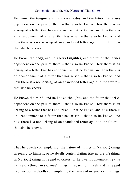He knows the **tongue**, and he knows **tastes**, and the fetter that arises dependent on the pair of them – that also he knows. How there is an arising of a fetter that has not arisen – that he knows; and how there is an abandonment of a fetter that has arisen – that also he knows; and how there is a non-arising of an abandoned fetter again in the future – that also he knows.

He knows the **body**, and he knows **tangibles**, and the fetter that arises dependent on the pair of them – that also he knows. How there is an arising of a fetter that has not arisen – that he knows; and how there is an abandonment of a fetter that has arisen – that also he knows; and how there is a non-arising of an abandoned fetter again in the future – that also he knows.

He knows the **mind**, and he knows **thoughts**, and the fetter that arises dependent on the pair of them – that also he knows. How there is an arising of a fetter that has not arisen – that he knows; and how there is an abandonment of a fetter that has arisen – that also he knows; and how there is a non-arising of an abandoned fetter again in the future – that also he knows.

\* \* \*

Thus he dwells contemplating (the nature of) things in (various) things in regard to himself, or he dwells contemplating (the nature of) things in (various) things in regard to others, or he dwells contemplating (the nature of) things in (various) things in regard to himself and in regard to others, or he dwells contemplating the nature of origination in things,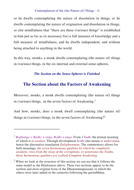or he dwells contemplating the nature of dissolution in things, or he dwells contemplating the nature of origination and dissolution in things, or else mindfulness that "there are these (various) things" is established in him just as far as (is necessary for) a full measure of knowledge and a full measure of mindfulness, and he dwells independent, and without being attached to anything in the world.

In this way, monks, a monk dwells contemplating (the nature of) things in (various) things, in the six internal and external sense-spheres.

# *The Section on the Sense-Spheres is Finished*

# **The Section about the Factors of Awakening**

Moreover, monks, a monk dwells contemplating (the nature of) things in (various) things, in the seven factors of Awakening.<sup>1</sup>

And how, monks, does a monk dwell contemplating (the nature of) things in (various) things, in the seven factors of Awakening?<sup>2</sup>

l

<sup>1</sup> *Bojjhaṅga > Bodhy + aṅga, Bodhi + aṅga*. From √ *budh*, the primal meaning of which is *to awaken*. Through development *bodhi* also means *to understand*, hence the alternative translation *Enlightenment*. The commentary allows for both meanings: *the seven harmonious qualities by which he completely awakens, rises from the sleep of the corruptions, or penetrates the Truths, those harmonious qualities are (called) Complete Awakening*.

<sup>&</sup>lt;sup>2</sup> When we look at the structure of this section we can see that it follows the same model as the Hindrances above. These two sections appear to be the earliest and most original form of the Dhammānupassanā, to which the others were later added in the centuries following the parinibbāna.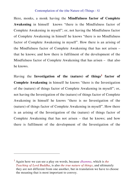Here, monks, a monk having the **Mindfulness factor of Complete Awakening** in himself knows "there is the Mindfulness factor of Complete Awakening in myself"; or, not having the Mindfulness factor of Complete Awakening in himself he knows "there is no Mindfulness factor of Complete Awakening in myself". How there is an arising of the Mindfulness factor of Complete Awakening that has not arisen – that he knows; and how there is fulfilment of the development of the Mindfulness factor of Complete Awakening that has arisen – that also he knows.

Having the **Investigation of the (nature) of things<sup>1</sup> factor of Complete Awakening** in himself he knows "there is the Investigation of the (nature) of things factor of Complete Awakening in myself"; or, not having the Investigation of the (nature) of things factor of Complete Awakening in himself he knows "there is no Investigation of the (nature) of things factor of Complete Awakening in myself". How there is an arising of the Investigation of the (nature) of things factor of Complete Awakening that has not arisen – that he knows; and how there is fulfilment of the development of the Investigation of the

l

<sup>1</sup> Again here we can see a play on words, because *dhamma*, which is *the Teaching of Lord Buddha*, is also *the true nature of things*, and ultimately they are not different from one another, but in translation we have to choose the meaning that is most important to convey.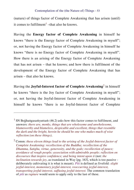(nature) of things factor of Complete Awakening that has arisen (until) it comes to fulfilment<sup>1</sup> –that also he knows.

Having the **Energy factor of Complete Awakening** in himself he knows "there is the Energy factor of Complete Awakening in myself"; or, not having the Energy factor of Complete Awakening in himself he knows "there is no Energy factor of Complete Awakening in myself". How there is an arising of the Energy factor of Complete Awakening that has not arisen – that he knows; and how there is fulfilment of the development of the Energy factor of Complete Awakening that has arisen – that also he knows.

Having the **Joyful-Interest factor of Complete Awakening**<sup>2</sup> in himself he knows "there is the Joy factor of Complete Awakening in myself"; or, not having the Joyful-Interest factor of Complete Awakening in himself he knows "there is no Joyful-Interest factor of Complete

 $\overline{a}$ 

<sup>2</sup> Comm: *these eleven things lead to the arising of the Joyful-Interest factor of Complete Awakening: recollection of the Buddha; recollection of the Dhamma, Saṅgha, virtue, generosity, and the gods; recollection of peace; avoidance of rough people; association with admirable people; reflection on discourses that inspire confidence; and being intent upon it* (not: *the inclination towards joy*, as translated in Way [pg. 163], which is too passive deliberately cultivating it is what is meant). *Pīti* is defined as fivefold: *slight joyful-interest, momentary joyful-interest, reoccurring joyful-interest, transporting joyful-interest, suffusing joyful-interest*. The common translation of *pīti* as *rapture* would seem to apply only to the last of these.

 $1$  SN Bojjhaṅgasaṁyuttaṁ (46.2) asks how this factor comes to fulfilment, and answers: *there are, monks, things that are wholesome and unwholesome, blameworthy and blameless, despicable and excellent, things that resemble the dark and the bright, herein he should be one who makes much of wise reflection (on these things)*.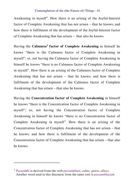Awakening in myself". How there is an arising of the Joyful-Interest factor of Complete Awakening that has not arisen – that he knows; and how there is fulfilment of the development of the Joyful-Interest factor of Complete Awakening that has arisen – that also he knows.

Having the **Calmness<sup>1</sup> factor of Complete Awakening** in himself he knows "there is the Calmness factor of Complete Awakening in myself"; or, not having the Calmness factor of Complete Awakening in himself he knows "there is no Calmness factor of Complete Awakening in myself". How there is an arising of the Calmness factor of Complete Awakening that has not arisen – that he knows; and how there is fulfilment of the development of the Calmness factor of Complete Awakening that has arisen – that also he knows.

Having the **Concentration factor of Complete Awakening** in himself he knows "there is the Concentration factor of Complete Awakening in myself"; or, not having the Concentration factor of Complete Awakening in himself he knows "there is no Concentration factor of Complete Awakening in myself". How there is an arising of the Concentration factor of Complete Awakening that has not arisen – that he knows; and how there is fulfilment of the development of the Concentration factor of Complete Awakening that has arisen – that also he knows.

<sup>1</sup> *Passaddhi* is derived from the verb *passambhati*, *calms, quiets, allays*. Another word used in this discourse from the same root is *passambhayaṁ*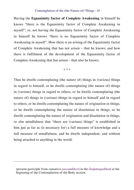Having the **Equanimity factor of Complete Awakening** in himself he knows "there is the Equanimity factor of Complete Awakening in myself"; or, not having the Equanimity factor of Complete Awakening in himself he knows "there is no Equanimity factor of Complete Awakening in myself". How there is an arising of the Equanimity factor of Complete Awakening that has not arisen – that he knows; and how there is fulfilment of the development of the Equanimity factor of Complete Awakening that has arisen – that also he knows.

\* \* \*

Thus he dwells contemplating (the nature of) things in (various) things in regard to himself, or he dwells contemplating (the nature of) things in (various) things in regard to others, or he dwells contemplating (the nature of) things in (various) things in regard to himself and in regard to others, or he dwells contemplating the nature of origination in things, or he dwells contemplating the nature of dissolution in things, or he dwells contemplating the nature of origination and dissolution in things, or else mindfulness that "there are (various) things" is established in him just as far as (is necessary for) a full measure of knowledge and a full measure of mindfulness, and he dwells independent, and without being attached to anything in the world.

(present participle from causative *passambheti*) in the *Ānāpānapabbaṁ* at the beginning of the Contemplation of the Body section.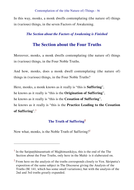In this way, monks, a monk dwells contemplating (the nature of) things in (various) things, in the seven Factors of Awakening.

# *The Section about the Factors of Awakening is Finished*

# **The Section about the Four Truths**

Moreover, monks, a monk dwells contemplating (the nature of) things in (various) things, in the Four Noble Truths.

And how, monks, does a monk dwell contemplating (the nature of) things in (various) things, in the Four Noble Truths?

Here, monks, a monk knows as it really is "this is **Suffering**",

he knows as it really is "this is the **Origination of Suffering**",

he knows as it really is "this is the **Cessation of Suffering**",

he knows as it really is "this is the **Practice Leading to the Cessation of Suffering**".<sup>1</sup>

# **The Truth of Suffering<sup>2</sup>**

Now what, monks, is the Noble Truth of Suffering?<sup>1</sup>

<sup>&</sup>lt;sup>1</sup> In the Satipaṭṭhānasuttaṁ of Majjhimanikāya, this is the end of the The Section about the Four Truths, only here in the Mahā- is it elaberated on.

 $2$  From here on the analysis of the truths corresponds closely to Ven. Sāriputta's exposition of the same subject in The Discourse giving the Analysis of the Truths (M. 141, which has some small variations), but with the analysis of the 2nd and 3rd truths greatly expanded.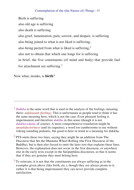Birth is suffering also old age is suffering also death is suffering also grief, lamentation, pain, sorrow, and despair, is suffering also being joined to what is not liked is suffering, also being parted from what is liked is suffering.<sup>2</sup> also not to obtain that which one longs for is suffering in brief, the five constituents (of mind and body) that provide fuel for attachment are suffering.<sup>3</sup>

Now what, monks, is **birth**?

l

<sup>1</sup> *Dukkha* is the same word that is used in the analysis of the feelings, meaning there: *unpleasant (feeling)*. This is unfortunate as people tend to think it has the same meaning here, which is not the case. Even pleasant feeling is impermanent and therefore *dukkha* in this sense (though it is not *dukkhavedanā*, of course). A more comprehensive translation might be *unsatisfactoriness* (and its cognates), a word too cumbersome to use without risking sounding pedantic, but good to bear in mind as a meaning for dukkha.

 $2$  PTS omits these two lines, saying they might be an addition from The Discourse that Set the Dhamma Wheel Rolling (the First Discourse of the Buddha), but is then also forced to omit the later text that explains these lines. However, the explanation does not occur in the first discourse, or anywhere else in the early texts except in the Satipatthana discourses, so that it seems that if they are genuine they must belong here.

 $3$  To reiterate, it is not that the constituents are always suffering as in the examples given above (like birth, etc.), though they are always prone to it, rather it is that being impermanent they can never provide complete satisfaction.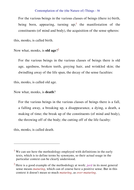For the various beings in the various classes of beings (there is) birth, being born, appearing, turning  $up;$ <sup>1</sup> the manifestation of the constituents (of mind and body), the acquisition of the sense spheres:

this, monks, is called birth.

Now what, monks, is **old age**? 2

For the various beings in the various classes of beings there is old age, agedness, broken teeth, greying hair, and wrinkled skin; the dwindling away of the life span, the decay of the sense faculties:

this, monks, is called old age.

Now what, monks, is **death**?

For the various beings in the various classes of beings there is a fall, a falling away, a breaking up, a disappearance, a dying, a death, a making of time; the break up of the constituents (of mind and body), the throwing off of the body; the cutting off of the life faculty:

this, monks, is called death.

<sup>&</sup>lt;sup>1</sup> We can see here the methodology employed with definitions in the early texts, which is to define terms by synonyms, so their actual usage in the particular context can be clearly understood.

<sup>2</sup> Here is a good example of the methodology at work: *jarā* in its most general sense means *maturing*, which can of course have a positive sense. But in this context it doesn't mean so much *maturing*, as *over-maturing*.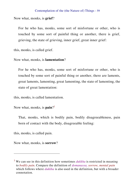Now what, monks, is **grief**?

For he who has, monks, some sort of misfortune or other, who is touched by some sort of painful thing or another, there is grief, grieving, the state of grieving, inner grief, great inner grief:

this, monks, is called grief.

Now what, monks, is **lamentation**?

For he who has, monks, some sort of misfortune or other, who is touched by some sort of painful thing or another, there are laments, great laments, lamenting, great lamenting, the state of lamenting, the state of great lamentation:

this, monks, is called lamentation.

Now what, monks, is **pain**? 1

That, monks, which is bodily pain, bodily disagreeableness, pain born of contact with the body, disagreeable feeling:

this, monks, is called pain.

l

Now what, monks, is **sorrow**?

<sup>1</sup> We can see in this definition how sometimes *dukkha* is restricted in meaning to *bodily pain*. Compare the definition of *domanassa, sorrow, mental pain* which follows where *dukkha* is also used in the definition, but with a broader connotation.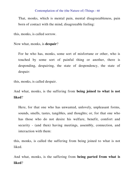That, monks, which is mental pain, mental disagreeableness, pain born of contact with the mind, disagreeable feeling:

this, monks, is called sorrow.

Now what, monks, is **despair**?

For he who has, monks, some sort of misfortune or other, who is touched by some sort of painful thing or another, there is desponding, despairing, the state of despondency, the state of despair:

this, monks, is called despair.

And what, monks, is the suffering from **being joined to what is not liked**?

Here, for that one who has unwanted, unlovely, unpleasant forms, sounds, smells, tastes, tangibles, and thoughts; or, for that one who has those who do not desire his welfare, benefit, comfort and security - (and then) having meetings, assembly, connection, and interaction with them:

this, monks, is called the suffering from being joined to what is not liked.

And what, monks, is the suffering from **being parted from what is liked**?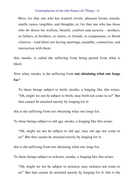Here, for that one who has wanted, lovely, pleasant forms, sounds, smells, tastes, tangibles, and thoughts; or, for that one who has those who do desire his welfare, benefit, comfort and security - mothers, or fathers, or brothers, or sisters, or friends, or companions, or blood relatives - (and then) not having meetings, assembly, connection, and interaction with them:

this, monks, is called the suffering from being parted from what is liked.

Now what, monks, is the suffering from **not obtaining what one longs for**?

To those beings subject to birth, monks, a longing like this arises: "Oh, might we not be subject to birth, may birth not come to us!" But that cannot be attained merely by longing for it:

this is the suffering from not obtaining what one longs for.

To those beings subject to old age, monks, a longing like this arises:

"Oh, might we not be subject to old age, may old age not come to us!" But that cannot be attained merely by longing for it:

this is the suffering from not obtaining what one longs for.

To those beings subject to sickness, monks, a longing like this arises:

"Oh, might we not be subject to sickness, may sickness not come to us!" But that cannot be attained merely by longing for it: this is the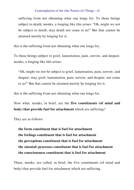suffering from not obtaining what one longs for. To those beings subject to death, monks, a longing like this arises: "Oh, might we not be subject to death, may death not come to us!" But that cannot be attained merely by longing for it:

this is the suffering from not obtaining what one longs for.

To those beings subject to grief, lamentation, pain, sorrow, and despair, monks, a longing like this arises:

"Oh, might we not be subject to grief, lamentation, pain, sorrow, and despair, may grief, lamentation, pain, sorrow, and despair, not come to us!" But that cannot be attained merely by longing for it:

this is the suffering from not obtaining what one longs for.

Now what, monks, in brief, are the **five constituents (of mind and body) that provide fuel for attachment** which are suffering?

They are as follows:

**the form constituent that is fuel for attachment the feelings constituent that is fuel for attachment the perceptions constituent that is fuel for attachment the (mental) processes constituent that is fuel for attachment the consciousness constituent that is fuel for attachment**.

These, monks, are called, in brief, the five constituents (of mind and body) that provide fuel for attachment which are suffering.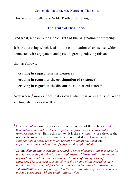This, monks, is called the Noble Truth of Suffering.

## **The Truth of Origination**

And what, monks, is the Noble Truth of the Origination of Suffering?

It is that craving which leads to the continuation of existence, which is connected with enjoyment and passion, greatly enjoying this and

that, as follows:

 $\overline{a}$ 

**craving in regard to sense pleasures craving in regard to the continuation of existence<sup>1</sup> craving in regard to the discontinuation of existence**. 2

Now where,<sup>1</sup> monks, does that craving when it is arising arise?<sup>2</sup> When settling where does it settle?

<sup>1</sup> I translate *bhava* simply as existence in the context of the 3 planes of *bhava* (*kāmabhava*, *sensual existence*; *rūpabhava*, *form existence*; *arūpabhava*, *formless existence*). But in this context it is the *continuation* of existence that is at the heart of the matter. *Bhava* here is divided into *kammabhava*, *continuation of existence through (result-producing) actions*; and *uppattibhava the continuation of existence through rebirth*.

<sup>2</sup> Comm: *Kāmataṇhā is craving in regard to sense pleasures, this is a name for passion regarding the five-fold sense-pleasures. Bhavataṇhā is craving in regard to the continuation of existence, because of having a wish for existence. This is a term associated with the arising of the eternalist view, passion for the form and formless existences, and a desire for absorption. Vibhavataṇhā is craving in regard to the discontinuation of existence, this is passion associated with the annihilationist view*.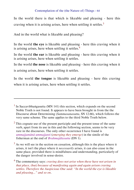In the world there is that which is likeable and pleasing - here this craving when it is arising arises, here when settling it settles.<sup>3</sup>

And in the world what is likeable and pleasing?

In the world **the eye** is likeable and pleasing - here this craving when it is arising arises, here when settling it settles. $4$ 

In the world **the ear** is likeable and pleasing - here this craving when it is arising arises, here when settling it settles.

In the world **the nose** is likeable and pleasing - here this craving when it

is arising arises, here when settling it settles.

 $\overline{a}$ 

In the world **the tongue** is likeable and pleasing - here this craving when it is arising arises, here when settling it settles.

 $2$  This cognate use of the present participle and the present tense of the same verb, apart from its use in this and the following section, seems to be very rare in the discourses. The only other occurrence I have found is *ummajjamānā ummajjanti* (*emerging they emerge*) in the simile of the fisherman at the end of *Brahmajālasutta* (DN 1).

 $3$  As we will see in the section on cessation, although this is the place where it arises, it isn't the place where it *necessarily* arises, it can also cease in the same place, provided there is mindfulness and understanding, particularly of the danger involved in sense-desire.

 $<sup>1</sup>$  In Saccavibhaṅgasutta (MN 141) this section, which expands on the second</sup> Noble Truth is not found. It appears to have been brought in from the the Discourse about Determining (*Sammasanasutta*, SN 12.66), which follows the very same scheme. The same applies to the third Noble Truth below.

<sup>4</sup> The commentary says: *craving does not arise when these have not arisen in that place, (but) because of manifesting again and again arisen craving settles. Therefore the Auspicious One said: "In the world the eye is likeable and pleasing..." and so on*.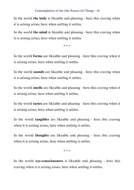In the world **the body** is likeable and pleasing - here this craving when it is arising arises, here when settling it settles.

In the world **the mind** is likeable and pleasing - here this craving when it is arising arises, here when settling it settles.

\* \* \*

In the world **forms** are likeable and pleasing - here this craving when it is arising arises, here when settling it settles.

In the world **sounds** are likeable and pleasing - here this craving when it is arising arises, here when settling it settles.

In the world **smells** are likeable and pleasing - here this craving when it is arising arises, here when settling it settles.

In the world **tastes** are likeable and pleasing - here this craving when it is arising arises, here when settling it settles.

In the world **tangibles** are likeable and pleasing - here this craving when it is arising arises, here when settling it settles.

In the world **thoughts** are likeable and pleasing - here this craving when it is arising arises, here when settling it settles.

\* \* \*

In the world **eye-consciousness** is likeable and pleasing - here this craving when it is arising arises, here when settling it settles.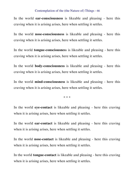In the world **ear-consciousness** is likeable and pleasing - here this craving when it is arising arises, here when settling it settles.

In the world **nose-consciousness** is likeable and pleasing - here this craving when it is arising arises, here when settling it settles.

In the world **tongue-consciousnes**s is likeable and pleasing - here this craving when it is arising arises, here when settling it settles.

In the world **body-consciousness** is likeable and pleasing - here this craving when it is arising arises, here when settling it settles.

In the world **mind-consciousness** is likeable and pleasing - here this craving when it is arising arises, here when settling it settles.

\* \* \*

In the world **eye-contact** is likeable and pleasing - here this craving when it is arising arises, here when settling it settles.

In the world **ear-contact** is likeable and pleasing - here this craving when it is arising arises, here when settling it settles.

In the world **nose-contact** is likeable and pleasing - here this craving when it is arising arises, here when settling it settles.

In the world **tongue-contact** is likeable and pleasing - here this craving when it is arising arises, here when settling it settles.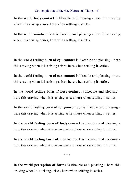In the world **body-contact** is likeable and pleasing - here this craving when it is arising arises, here when settling it settles.

In the world **mind-contact** is likeable and pleasing - here this craving when it is arising arises, here when settling it settles.

In the world **feeling born of eye-contact** is likeable and pleasing - here this craving when it is arising arises, here when settling it settles.

In the world **feeling born of ear-contact** is likeable and pleasing - here this craving when it is arising arises, here when settling it settles.

In the world **feeling born of nose-contact** is likeable and pleasing here this craving when it is arising arises, here when settling it settles.

In the world **feeling born of tongue-contact** is likeable and pleasing here this craving when it is arising arises, here when settling it settles.

In the world **feeling born of body-contact** is likeable and pleasing here this craving when it is arising arises, here when settling it settles.

In the world **feeling born of mind-contact** is likeable and pleasing here this craving when it is arising arises, here when settling it settles.

\* \* \*

In the world **perception of forms** is likeable and pleasing - here this craving when it is arising arises, here when settling it settles.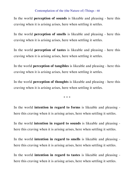In the world **perception of sounds** is likeable and pleasing - here this craving when it is arising arises, here when settling it settles.

In the world **perception of smells** is likeable and pleasing - here this craving when it is arising arises, here when settling it settles.

In the world **perception of tastes** is likeable and pleasing - here this craving when it is arising arises, here when settling it settles.

In the world **perception of tangibles** is likeable and pleasing - here this craving when it is arising arises, here when settling it settles.

In the world **perception of thoughts** is likeable and pleasing - here this craving when it is arising arises, here when settling it settles.

\* \* \*

In the world **intention in regard to forms** is likeable and pleasing here this craving when it is arising arises, here when settling it settles.

In the world **intention in regard to sounds** is likeable and pleasing here this craving when it is arising arises, here when settling it settles.

In the world **intention in regard to smells** is likeable and pleasing here this craving when it is arising arises, here when settling it settles.

In the world **intention in regard to tastes** is likeable and pleasing here this craving when it is arising arises, here when settling it settles.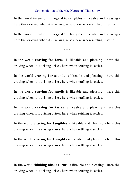In the world **intention in regard to tangibles** is likeable and pleasing here this craving when it is arising arises, here when settling it settles.

In the world **intention in regard to thoughts** is likeable and pleasing here this craving when it is arising arises, here when settling it settles.

\* \* \*

In the world **craving for forms** is likeable and pleasing - here this craving when it is arising arises, here when settling it settles.

In the world **craving for sounds** is likeable and pleasing - here this craving when it is arising arises, here when settling it settles.

In the world **craving for smells** is likeable and pleasing - here this craving when it is arising arises, here when settling it settles.

In the world **craving for tastes** is likeable and pleasing - here this craving when it is arising arises, here when settling it settles.

In the world **craving for tangibles** is likeable and pleasing - here this craving when it is arising arises, here when settling it settles.

In the world **craving for thoughts** is likeable and pleasing - here this craving when it is arising arises, here when settling it settles.

\* \* \*

In the world **thinking about forms** is likeable and pleasing - here this craving when it is arising arises, here when settling it settles.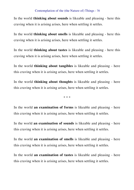In the world **thinking about sounds** is likeable and pleasing - here this craving when it is arising arises, here when settling it settles.

In the world **thinking about smells** is likeable and pleasing - here this craving when it is arising arises, here when settling it settles.

In the world **thinking about tastes** is likeable and pleasing - here this craving when it is arising arises, here when settling it settles.

In the world **thinking about tangibles** is likeable and pleasing - here this craving when it is arising arises, here when settling it settles.

In the world **thinking about thoughts** is likeable and pleasing - here this craving when it is arising arises, here when settling it settles.

\* \* \*

In the world **an examination of forms** is likeable and pleasing - here this craving when it is arising arises, here when settling it settles.

In the world **an examination of sounds** is likeable and pleasing - here this craving when it is arising arises, here when settling it settles.

In the world **an examination of smells** is likeable and pleasing - here this craving when it is arising arises, here when settling it settles.

In the world **an examination of tastes** is likeable and pleasing - here this craving when it is arising arises, here when settling it settles.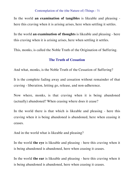In the world **an examination of tangibles** is likeable and pleasing here this craving when it is arising arises, here when settling it settles.

In the world **an examination of thoughts** is likeable and pleasing - here this craving when it is arising arises, here when settling it settles.

This, monks, is called the Noble Truth of the Origination of Suffering.

## **The Truth of Cessation**

And what, monks, is the Noble Truth of the Cessation of Suffering?

It is the complete fading away and cessation without remainder of that craving - liberation, letting go, release, and non-adherence.

Now where, monks, is that craving when it is being abandoned (actually) abandoned? When ceasing where does it cease?

In the world there is that which is likeable and pleasing - here this craving when it is being abandoned is abandoned, here when ceasing it ceases.

And in the world what is likeable and pleasing?

In the world **the eye** is likeable and pleasing - here this craving when it is being abandoned is abandoned, here when ceasing it ceases.

In the world **the ear** is likeable and pleasing - here this craving when it is being abandoned is abandoned, here when ceasing it ceases.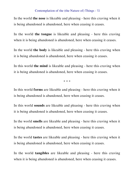In the world **the nose** is likeable and pleasing - here this craving when it is being abandoned is abandoned, here when ceasing it ceases.

In the world **the tongue** is likeable and pleasing - here this craving when it is being abandoned is abandoned, here when ceasing it ceases.

In the world **the body** is likeable and pleasing - here this craving when it is being abandoned is abandoned, here when ceasing it ceases.

In this world **the mind** is likeable and pleasing - here this craving when it is being abandoned is abandoned, here when ceasing it ceases.

\* \* \*

In this world **forms** are likeable and pleasing - here this craving when it is being abandoned is abandoned, here when ceasing it ceases.

In this world **sounds** are likeable and pleasing - here this craving when it is being abandoned is abandoned, here when ceasing it ceases.

In the world **smells** are likeable and pleasing - here this craving when it is being abandoned is abandoned, here when ceasing it ceases.

In the world **tastes** are likeable and pleasing - here this craving when it is being abandoned is abandoned, here when ceasing it ceases.

In the world **tangibles** are likeable and pleasing - here this craving when it is being abandoned is abandoned, here when ceasing it ceases.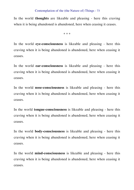In the world **thoughts** are likeable and pleasing - here this craving when it is being abandoned is abandoned, here when ceasing it ceases.

\* \* \*

In the world **eye-consciousness** is likeable and pleasing - here this craving when it is being abandoned is abandoned, here when ceasing it ceases.

In the world **ear-consciousness** is likeable and pleasing - here this craving when it is being abandoned is abandoned, here when ceasing it ceases.

In the world **nose-consciousness** is likeable and pleasing - here this craving when it is being abandoned is abandoned, here when ceasing it ceases.

In the world **tongue-consciousness** is likeable and pleasing - here this craving when it is being abandoned is abandoned, here when ceasing it ceases.

In the world **body-consciousness** is likeable and pleasing - here this craving when it is being abandoned is abandoned, here when ceasing it ceases.

In the world **mind-consciousness** is likeable and pleasing - here this craving when it is being abandoned is abandoned, here when ceasing it ceases.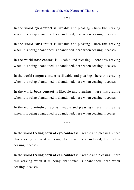\* \* \*

In the world **eye-contact** is likeable and pleasing - here this craving when it is being abandoned is abandoned, here when ceasing it ceases.

In the world **ear-contact** is likeable and pleasing - here this craving when it is being abandoned is abandoned, here when ceasing it ceases.

In the world **nose-contac**t is likeable and pleasing - here this craving when it is being abandoned is abandoned, here when ceasing it ceases.

In the world **tongue-contact** is likeable and pleasing - here this craving when it is being abandoned is abandoned, here when ceasing it ceases.

In the world **body-contact** is likeable and pleasing - here this craving when it is being abandoned is abandoned, here when ceasing it ceases.

In the world **mind-contact** is likeable and pleasing - here this craving when it is being abandoned is abandoned, here when ceasing it ceases.

\* \* \*

In the world **feeling born of eye-contact** is likeable and pleasing - here this craving when it is being abandoned is abandoned, here when ceasing it ceases.

In the world **feeling born of ear-contact** is likeable and pleasing - here this craving when it is being abandoned is abandoned, here when ceasing it ceases.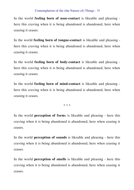In the world **feeling born of nose-contact** is likeable and pleasing here this craving when it is being abandoned is abandoned, here when ceasing it ceases.

In the world **feeling born of tongue-contact** is likeable and pleasing here this craving when it is being abandoned is abandoned, here when ceasing it ceases.

In the world **feeling born of body-contact** is likeable and pleasing here this craving when it is being abandoned is abandoned, here when ceasing it ceases.

In the world **feeling born of mind-contact** is likeable and pleasing here this craving when it is being abandoned is abandoned, here when ceasing it ceases.

\* \* \*

In the world **perception of form**s is likeable and pleasing - here this craving when it is being abandoned is abandoned, here when ceasing it ceases.

In the world **perception of sounds** is likeable and pleasing - here this craving when it is being abandoned is abandoned, here when ceasing it ceases.

In the world **perception of smells** is likeable and pleasing - here this craving when it is being abandoned is abandoned, here when ceasing it ceases.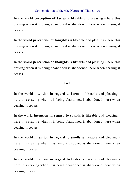In the world **perception of tastes** is likeable and pleasing - here this craving when it is being abandoned is abandoned, here when ceasing it ceases.

In the world **perception of tangibles** is likeable and pleasing - here this craving when it is being abandoned is abandoned, here when ceasing it ceases.

In the world **perception of thoughts** is likeable and pleasing - here this craving when it is being abandoned is abandoned, here when ceasing it ceases.

\* \* \*

In the world **intention in regard to forms** is likeable and pleasing here this craving when it is being abandoned is abandoned, here when ceasing it ceases.

In the world **intention in regard to sounds** is likeable and pleasing here this craving when it is being abandoned is abandoned, here when ceasing it ceases.

In the world **intention in regard to smells** is likeable and pleasing here this craving when it is being abandoned is abandoned, here when ceasing it ceases.

In the world **intention in regard to tastes** is likeable and pleasing here this craving when it is being abandoned is abandoned, here when ceasing it ceases.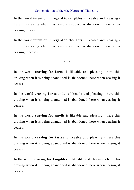In the world **intention in regard to tangibles** is likeable and pleasing here this craving when it is being abandoned is abandoned, here when ceasing it ceases.

In the world **intention in regard to thoughts** is likeable and pleasing here this craving when it is being abandoned is abandoned, here when ceasing it ceases.

\* \* \*

In the world **craving for forms** is likeable and pleasing - here this craving when it is being abandoned is abandoned, here when ceasing it ceases.

In the world **craving for sounds** is likeable and pleasing - here this craving when it is being abandoned is abandoned, here when ceasing it ceases.

In the world **craving for smells** is likeable and pleasing - here this craving when it is being abandoned is abandoned, here when ceasing it ceases.

In the world **craving for tastes** is likeable and pleasing - here this craving when it is being abandoned is abandoned, here when ceasing it ceases.

In the world **craving for tangibles** is likeable and pleasing - here this craving when it is being abandoned is abandoned, here when ceasing it ceases.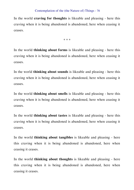In the world **craving for thoughts** is likeable and pleasing - here this craving when it is being abandoned is abandoned, here when ceasing it ceases.

\* \* \*

In the world **thinking about forms** is likeable and pleasing - here this craving when it is being abandoned is abandoned, here when ceasing it ceases.

In the world **thinking about sounds** is likeable and pleasing - here this craving when it is being abandoned is abandoned, here when ceasing it ceases.

In the world **thinking about smells** is likeable and pleasing - here this craving when it is being abandoned is abandoned, here when ceasing it ceases.

In the world **thinking about tastes** is likeable and pleasing - here this craving when it is being abandoned is abandoned, here when ceasing it ceases.

In the world **thinking about tangibles** is likeable and pleasing - here this craving when it is being abandoned is abandoned, here when ceasing it ceases.

In the world **thinking about thoughts** is likeable and pleasing - here this craving when it is being abandoned is abandoned, here when ceasing it ceases.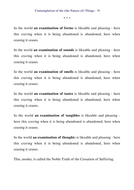\* \* \*

In the world **an examination of forms** is likeable and pleasing - here this craving when it is being abandoned is abandoned, here when ceasing it ceases.

In the world **an examination of sounds** is likeable and pleasing - here this craving when it is being abandoned is abandoned, here when ceasing it ceases.

In the world **an examination of smells** is likeable and pleasing - here this craving when it is being abandoned is abandoned, here when ceasing it ceases.

In the world **an examination of tastes** is likeable and pleasing - here this craving when it is being abandoned is abandoned, here when ceasing it ceases.

In the world **an examination of tangibles** is likeable and pleasing here this craving when it is being abandoned is abandoned, here when ceasing it ceases.

In the world **an examination of thought**s is likeable and pleasing - here this craving when it is being abandoned is abandoned, here when ceasing it ceases.

This, monks, is called the Noble Truth of the Cessation of Suffering.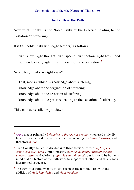# **The Truth of the Path**

Now what, monks, is the Noble Truth of the Practice Leading to the Cessation of Suffering?

It is this noble<sup>1</sup> path with eight factors,<sup>2</sup> as follows:

right view, right thought, right speech, right action, right livelihood right endeavour, right mindfulness, right concentration.<sup>3</sup>

Now what, monks, is **right view**?

That, monks, which is knowledge about suffering knowledge about the origination of suffering knowledge about the cessation of suffering knowledge about the practice leading to the cessation of suffering.

This, monks, is called right view.<sup>1</sup>

l

<sup>1</sup> *Ariya* means primarily *belonging to the Ariyan people*; when used ethically, however, as the Buddha used it, it had the meaning of *civilised*, *worthy*, and therefore *noble*.

<sup>2</sup> Traditionally the Path is divided into three sections: virtue (*right speech, action and livelihood*), mind-mastery (*right endeavour, mindfulness and concentration*) and wisdom (*right view and thought*), but it should be borne in mind that all factors of the Path work to support each other, and this is not a hierarchical sequence.

 $3$  The eightfold Path, when fulfilled, becomes the tenfold Path, with the addition of *right knowledge* and *right freedom*.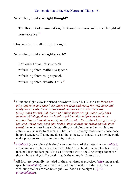# Now what, monks, is **right thought**?

The thought of renunciation, the thought of good-will, the thought of non-violence  $2$ 

This, monks, is called right thought.

Now what, monks, is **right speech**?

Refraining from false speech refraining from malicious speech refraining from rough speech refraining from frivolous talk.<sup>3</sup>

 $\overline{a}$ 

<sup>1</sup> Mundane right-view is defined elsewhere (MN 41, 117, etc.) as: *there are gifts, offerings and sacrifices, there are fruit and result for well-done and badly-done deeds, there is this world and the next world, there are (obligations towards) Mother and Father, there are spontaneously born (heavenly) beings, there are in this world monks and priests who have practiced and attained correctly, and those who, themselves having directly realised it with their deep knowledge, make known this world and the next world*; i.e. one must have understanding of wholesome and unwholesome actions, one's duties to others, a belief in the heavenly realms and confidence in good teachers. If someone doesn't have these, it is hard to see how he could make progress to supermundane right-view.

<sup>2</sup> *Avihimsā* (non-violence) is simply another form of the better known *ahimsā*, a fundamental virtue associated with Mahātma Gandhi, which has been very influential in modern politics as a different way of getting things done: for those who are physically weak it adds the strength of morality.

<sup>3</sup> All four are normally included in the five virtuous practices (*sīla*) under right speech (*musāvāda*), but sometimes spelt out to make another set of eight virtuous practices, which has right livelihood as the eighth (*ājīvāaṭṭhamakasīla*).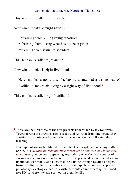This, monks, is called right speech.

Now what, monks, is **right action**?

Refraining from killing living creatures refraining from taking what has not been given refraining from sexual misconduct.<sup>1</sup>

This, monks, is called right action.

Now what, monks, is **right livelihood**?

Here, monks, a noble disciple, having abandoned a wrong way of livelihood, makes his living by a right way of livelihood.<sup>2</sup>

This, monks, is called right livelihood.

 $\overline{a}$ 

 $<sup>1</sup>$  These are the first three of the five precepts undertaken by lay followers.</sup> Together with the previous right speech and restraint from intoxicants they constitute the basic level of morality expected of anyone following the teaching.

<sup>&</sup>lt;sup>2</sup> Five types of wrong livelihood for merchants are explained in Vaṇijjāsuttam (AN 5.177): *dealing in weapons (lit. swords), living beings, meat, intoxicants and poisons*; but generally speaking any activity whereby in the course of earning one's living one has to break the precepts could be considered wrong livelihood. For monks and nuns, making a living through reading of signs, fortune telling, acting as a go-between, casting spells, accountancy, poetry, philosophy or acting as medical assistants would count as wrong livelihood (see DN 1, where they are spelt out in great detail).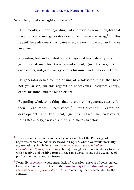## Now what, monks, is **right endeavour**?

 $\overline{a}$ 

Here, monks, a monk regarding bad and unwholesome thoughts that have not yet arisen generates desire for their non-arising,<sup>1</sup> (in this regard) he endeavours, instigates energy, exerts his mind, and makes an effort.

Regarding bad and unwholesome things that have already arisen he generates desire for their abandonment, (in this regard) he endeavours, instigates energy, exerts his mind, and makes an effort.

He generates desire for the arising of wholesome things that have not yet arisen, (in this regard) he endeavours, instigates energy, exerts his mind, and makes an effort.

Regarding wholesome things that have arisen he generates desire for their endurance, persistence,<sup>2</sup> multiplication, extension, development, and fulfilment, (in this regard) he endeavours, instigates energy, exerts his mind, and makes an effort.

 $<sup>1</sup>$  This section on the endeavours is a good example of the Pali usage of</sup> negatives, which sounds so awkward in English, where we would normally say something simple here, like: *he endeavours to prevent bad and unwholesome things from arising*. In Pāḷi, though, there is a tendency to work with negative and positive forms of the same word through the exchange of prefixes, and with cognate forms.

<sup>2</sup> Normally *asammosa* would mean lack of confusion, absense of delusion, etc. Here the commentary defines it thus: *asammosāyā ti avināsanatthaṁ*; *for persistence means for non-destruction* - a meaning that is demanded by the context.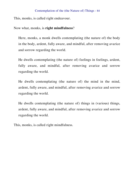This, monks, is called right endeavour.

Now what, monks, is **right mindfulness**?

Here, monks, a monk dwells contemplating (the nature of) the body in the body, ardent, fully aware, and mindful, after removing avarice and sorrow regarding the world.

He dwells contemplating (the nature of) feelings in feelings, ardent, fully aware, and mindful, after removing avarice and sorrow regarding the world.

He dwells contemplating (the nature of) the mind in the mind, ardent, fully aware, and mindful, after removing avarice and sorrow regarding the world.

He dwells contemplating (the nature of) things in (various) things, ardent, fully aware, and mindful, after removing avarice and sorrow regarding the world.

This, monks, is called right mindfulness.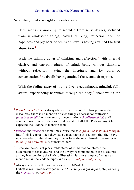# Now what, monks, is **right concentration**?

 $\overline{a}$ 

Here, monks, a monk, quite secluded from sense desires, secluded from unwholesome things, having thinking, reflection, and the happiness and joy born of seclusion, dwells having attained the first absorption.<sup>1</sup>

With the calming down of thinking and reflection,<sup>2</sup> with internal clarity, and one-pointedness of mind, being without thinking, without reflection, having the happiness and joy born of concentration, $3$  he dwells having attained the second absorption.

With the fading away of joy he dwells equanimous, mindful, fully aware, experiencing happiness through the body,<sup>4</sup> about which the

<sup>1</sup> *Right Concentration* is always defined in terms of the absorptions in the discourses; there is no mention of such things as access concentration (*upacārasamādhi*) or momentary concentration (*khaṇikasamādhi*) until commentarial times. If they were sufficient to fulfil the Path we might have expected the Buddha to mention them.

<sup>2</sup> *Vitakka* and *vicāra* are sometimes transalted as *applied and sustained thought*. But if this is correct then they have a meaning in this context that they have nowhere else, as elsewhere they always have the much broader meanings of *thinking and reflection*, as translated here.

 $3$  These are the sorts of pleasurable states of mind that counteract the attachment to sense-desires, and are always recommended in the discourses, as they lead on along the Path to liberation; it is an example of what was mentioned in the Vedanānupassanā as: *spiritual pleasant feeling*.

<sup>4</sup> Always defined in the commentaries (e.g. MNiddA, Guhatthakasuttaniddesavannanā; VinA, Verañjakandavannanā, etc.) as being the *nāmakāya*, or *mind-body*.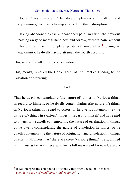Noble Ones declare: "He dwells pleasantly, mindful, and equanimous," he dwells having attained the third absorption.

Having abandoned pleasure, abandoned pain, and with the previous passing away of mental happiness and sorrow, without pain, without pleasure, and with complete purity of mindfulness<sup>1</sup> owing to equanimity, he dwells having attained the fourth absorption.

This, monks, is called right concentration.

This, monks, is called the Noble Truth of the Practice Leading to the Cessation of Suffering.

\* \* \*

Thus he dwells contemplating (the nature of) things in (various) things in regard to himself, or he dwells contemplating (the nature of) things in (various) things in regard to others, or he dwells contemplating (the nature of) things in (various) things in regard to himself and in regard to others, or he dwells contemplating the nature of origination in things, or he dwells contemplating the nature of dissolution in things, or he dwells contemplating the nature of origination and dissolution in things, or else mindfulness that "there are these (various) things" is established in him just as far as (is necessary for) a full measure of knowledge and a

 $\overline{a}$ 

 $<sup>1</sup>$  If we interpret the compound differently this might be taken to mean:</sup> *complete purity of mindfulness and equanimity*.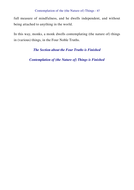full measure of mindfulness, and he dwells independent, and without being attached to anything in the world.

In this way, monks, a monk dwells contemplating (the nature of) things in (various) things, in the Four Noble Truths.

*The Section about the Four Truths is Finished*

*Contemplation of (the Nature of) Things is Finished*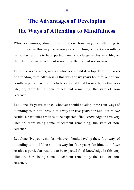# **The Advantages of Developing the Ways of Attending to Mindfulness**

Whoever, monks, should develop these four ways of attending to mindfulness in this way for **seven years**, for him, out of two results, a particular result is to be expected: final knowledge in this very life; or, there being some attachment remaining, the state of non-returner.

Let alone seven years, monks, whoever should develop these four ways of attending to mindfulness in this way for **six years** for him, out of two results, a particular result is to be expected final knowledge in this very life; or, there being some attachment remaining, the state of nonreturner.

Let alone six years, monks, whoever should develop these four ways of attending to mindfulness in this way for **five years** for him, out of two results, a particular result is to be expected: final knowledge in this very life; or, there being some attachment remaining, the state of nonreturner.

Let alone five years, monks, whoever should develop these four ways of attending to mindfulness in this way for **four years** for him, out of two results, a particular result is to be expected final knowledge in this very life; or, there being some attachment remaining, the state of nonreturner.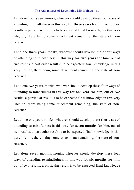## The Advantages of Developing Mindfulness - 89

Let alone four years, monks, whoever should develop these four ways of attending to mindfulness in this way for **three years** for him, out of two results, a particular result is to be expected final knowledge in this very life; or, there being some attachment remaining, the state of nonreturner.

Let alone three years, monks, whoever should develop these four ways of attending to mindfulness in this way for **two years** for him, out of two results, a particular result is to be expected: final knowledge in this very life; or, there being some attachment remaining, the state of nonreturner.

Let alone two years, monks, whoever should develop these four ways of attending to mindfulness in this way for **one year** for him, out of two results, a particular result is to be expected final knowledge in this very life; or, there being some attachment remaining, the state of nonreturner.

Let alone one year, monks, whoever should develop these four ways of attending to mindfulness in this way for **seven months** for him, out of two results, a particular result is to be expected final knowledge in this very life; or, there being some attachment remaining, the state of nonreturner.

Let alone seven months, monks, whoever should develop these four ways of attending to mindfulness in this way for **six months** for him, out of two results, a particular result is to be expected final knowledge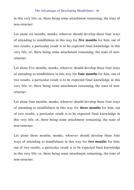## The Advantages of Developing Mindfulness - 90

in this very life; or, there being some attachment remaining, the state of non-returner.

Let alone six months, monks, whoever should develop these four ways of attending to mindfulness in this way for **five months** for him, out of two results, a particular result is to be expected final knowledge in this very life; or, there being some attachment remaining, the state of nonreturner.

Let alone five months, monks, whoever should develop these four ways of attending to mindfulness in this way for **four months** for him, out of two results, a particular result is to be expected final knowledge in this very life; or, there being some attachment remaining, the state of nonreturner.

Let alone four months, monks, whoever should develop these four ways of attending to mindfulness in this way for **three months** for him, out of two results, a particular result is to be expected final knowledge in this very life; or, there being some attachment remaining, the state of non-returner.

Let alone three months, monks, whoever should develop these four ways of attending to mindfulness in this way for **two months** for him, out of two results, a particular result is to be expected final knowledge in this very life; or, there being some attachment remaining, the state of non-returner.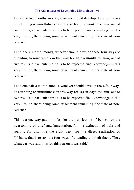## The Advantages of Developing Mindfulness - 91

Let alone two months, monks, whoever should develop these four ways of attending to mindfulness in this way for **one month** for him, out of two results, a particular result is to be expected final knowledge in this very life; or, there being some attachment remaining, the state of nonreturner.

Let alone a month, monks, whoever should develop these four ways of attending to mindfulness in this way for **half a month** for him, out of two results, a particular result is to be expected final knowledge in this very life; or, there being some attachment remaining, the state of nonreturner.

Let alone half a month, monks, whoever should develop these four ways of attending to mindfulness in this way for **seven days** for him, out of two results, a particular result is to be expected final knowledge in this very life; or, there being some attachment remaining, the state of nonreturner.

This is a one-way path, monks, for the purification of beings, for the overcoming of grief and lamentation, for the extinction of pain and sorrow, for attaining the right way, for the direct realisation of Nibbāna, that is to say, the four ways of attending to mindfulness. Thus, whatever was said, it is for this reason it was said."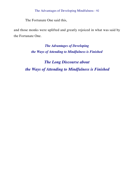The Fortunate One said this,

and those monks were uplifted and greatly rejoiced in what was said by the Fortunate One.

> *The Advantages of Developing the Ways of Attending to Mindfulness is Finished*

*The Long Discourse about the Ways of Attending to Mindfulness is Finished*